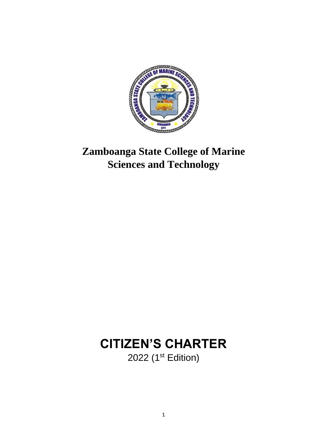

### **Zamboanga State College of Marine Sciences and Technology**

### **CITIZEN'S CHARTER** 2022 (1<sup>st</sup> Edition)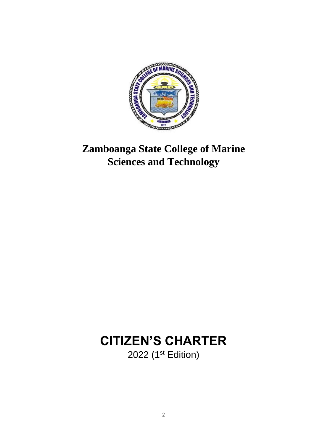

### **Zamboanga State College of Marine Sciences and Technology**

### **CITIZEN'S CHARTER** 2022 (1<sup>st</sup> Edition)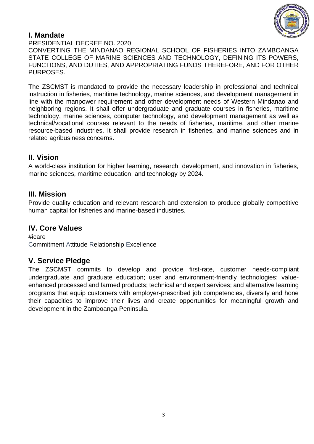

#### **I. Mandate**

PRESIDENTIAL DECREE NO. 2020 CONVERTING THE MINDANAO REGIONAL SCHOOL OF FISHERIES INTO ZAMBOANGA STATE COLLEGE OF MARINE SCIENCES AND TECHNOLOGY, DEFINING ITS POWERS, FUNCTIONS, AND DUTIES, AND APPROPRIATING FUNDS THEREFORE, AND FOR OTHER PURPOSES.

The ZSCMST is mandated to provide the necessary leadership in professional and technical instruction in fisheries, maritime technology, marine sciences, and development management in line with the manpower requirement and other development needs of Western Mindanao and neighboring regions. It shall offer undergraduate and graduate courses in fisheries, maritime technology, marine sciences, computer technology, and development management as well as technical/vocational courses relevant to the needs of fisheries, maritime, and other marine resource-based industries. It shall provide research in fisheries, and marine sciences and in related agribusiness concerns.

#### **II. Vision**

A world-class institution for higher learning, research, development, and innovation in fisheries, marine sciences, maritime education, and technology by 2024.

#### **III. Mission**

Provide quality education and relevant research and extension to produce globally competitive human capital for fisheries and marine-based industries.

#### **IV. Core Values**

#icare Commitment Attitude Relationship Excellence

#### **V. Service Pledge**

The ZSCMST commits to develop and provide first-rate, customer needs-compliant undergraduate and graduate education; user and environment-friendly technologies; valueenhanced processed and farmed products; technical and expert services; and alternative learning programs that equip customers with employer-prescribed job competencies, diversify and hone their capacities to improve their lives and create opportunities for meaningful growth and development in the Zamboanga Peninsula.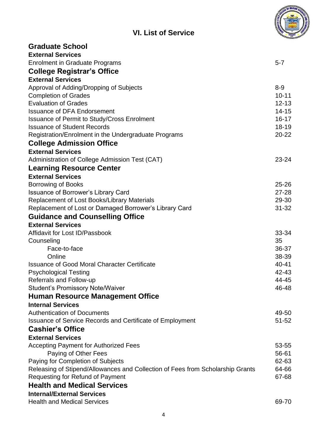| <b>VI. List of Service</b>                                                                            |                    |
|-------------------------------------------------------------------------------------------------------|--------------------|
| <b>Graduate School</b>                                                                                |                    |
| <b>External Services</b>                                                                              |                    |
| <b>Enrolment in Graduate Programs</b>                                                                 | $5 - 7$            |
| <b>College Registrar's Office</b>                                                                     |                    |
| <b>External Services</b>                                                                              |                    |
| Approval of Adding/Dropping of Subjects                                                               | $8 - 9$            |
| <b>Completion of Grades</b>                                                                           | $10 - 11$          |
| <b>Evaluation of Grades</b>                                                                           | $12 - 13$          |
| <b>Issuance of DFA Endorsement</b>                                                                    | $14 - 15$          |
| <b>Issuance of Permit to Study/Cross Enrolment</b>                                                    | $16 - 17$          |
| <b>Issuance of Student Records</b>                                                                    | $18 - 19$          |
| Registration/Enrolment in the Undergraduate Programs                                                  | $20 - 22$          |
| <b>College Admission Office</b>                                                                       |                    |
| <b>External Services</b>                                                                              |                    |
| Administration of College Admission Test (CAT)                                                        | $23 - 24$          |
| <b>Learning Resource Center</b>                                                                       |                    |
| <b>External Services</b>                                                                              |                    |
| <b>Borrowing of Books</b>                                                                             | $25 - 26$          |
| <b>Issuance of Borrower's Library Card</b>                                                            | $27 - 28$<br>29-30 |
| Replacement of Lost Books/Library Materials<br>Replacement of Lost or Damaged Borrower's Library Card | $31 - 32$          |
| <b>Guidance and Counselling Office</b>                                                                |                    |
| <b>External Services</b>                                                                              |                    |
| Affidavit for Lost ID/Passbook                                                                        | 33-34              |
| Counseling                                                                                            | 35                 |
| Face-to-face                                                                                          | 36-37              |
| Online                                                                                                | 38-39              |
| <b>Issuance of Good Moral Character Certificate</b>                                                   | 40-41              |
| <b>Psychological Testing</b>                                                                          | 42-43              |
| Referrals and Follow-up                                                                               | 44-45              |
| <b>Student's Promissory Note/Waiver</b>                                                               | 46-48              |
| <b>Human Resource Management Office</b>                                                               |                    |
| <b>Internal Services</b>                                                                              |                    |
| <b>Authentication of Documents</b>                                                                    | 49-50              |
| <b>Issuance of Service Records and Certificate of Employment</b>                                      | $51 - 52$          |
| <b>Cashier's Office</b>                                                                               |                    |
| <b>External Services</b>                                                                              |                    |
| <b>Accepting Payment for Authorized Fees</b>                                                          | 53-55              |
| Paying of Other Fees                                                                                  | 56-61              |
| Paying for Completion of Subjects                                                                     | 62-63              |
| Releasing of Stipend/Allowances and Collection of Fees from Scholarship Grants                        | 64-66              |
| <b>Requesting for Refund of Payment</b>                                                               | 67-68              |
| <b>Health and Medical Services</b>                                                                    |                    |
| <b>Internal/External Services</b>                                                                     |                    |
| <b>Health and Medical Services</b>                                                                    | 69-70              |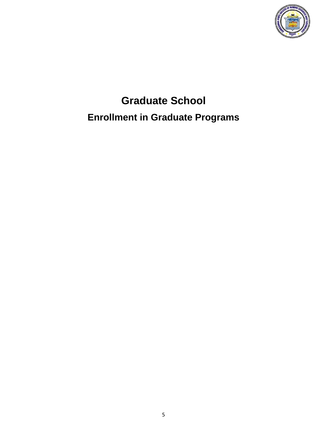

# **Graduate School Enrollment in Graduate Programs**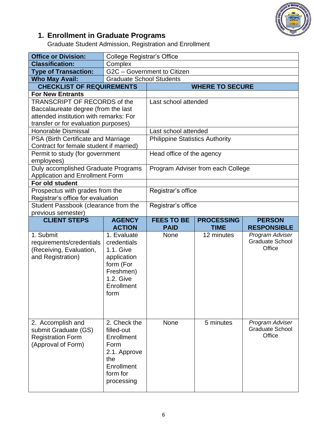

#### **1. Enrollment in Graduate Programs**

Graduate Student Admission, Registration and Enrollment

| <b>Office or Division:</b>                    | <b>College Registrar's Office</b> |                                        |                                   |                                           |
|-----------------------------------------------|-----------------------------------|----------------------------------------|-----------------------------------|-------------------------------------------|
| <b>Classification:</b>                        | Complex                           |                                        |                                   |                                           |
| <b>Type of Transaction:</b>                   |                                   | G2C - Government to Citizen            |                                   |                                           |
| <b>Who May Avail:</b>                         | <b>Graduate School Students</b>   |                                        |                                   |                                           |
| <b>CHECKLIST OF REQUIREMENTS</b>              |                                   |                                        | <b>WHERE TO SECURE</b>            |                                           |
| <b>For New Entrants</b>                       |                                   |                                        |                                   |                                           |
| TRANSCRIPT OF RECORDS of the                  |                                   | Last school attended                   |                                   |                                           |
| Baccalaureate degree (from the last           |                                   |                                        |                                   |                                           |
| attended institution with remarks: For        |                                   |                                        |                                   |                                           |
| transfer or for evaluation purposes)          |                                   |                                        |                                   |                                           |
| <b>Honorable Dismissal</b>                    |                                   | Last school attended                   |                                   |                                           |
| PSA (Birth Certificate and Marriage           |                                   | <b>Philippine Statistics Authority</b> |                                   |                                           |
| Contract for female student if married)       |                                   |                                        |                                   |                                           |
| Permit to study (for government<br>employees) |                                   | Head office of the agency              |                                   |                                           |
| Duly accomplished Graduate Programs           |                                   |                                        | Program Adviser from each College |                                           |
| <b>Application and Enrollment Form</b>        |                                   |                                        |                                   |                                           |
| For old student                               |                                   |                                        |                                   |                                           |
| Prospectus with grades from the               |                                   | Registrar's office                     |                                   |                                           |
| Registrar's office for evaluation             |                                   |                                        |                                   |                                           |
| Student Passbook (clearance from the          |                                   | Registrar's office                     |                                   |                                           |
| previous semester)                            |                                   |                                        |                                   |                                           |
| <b>CLIENT STEPS</b>                           | <b>AGENCY</b>                     | <b>FEES TO BE</b>                      | <b>PROCESSING</b>                 | <b>PERSON</b>                             |
|                                               |                                   |                                        |                                   |                                           |
|                                               | <b>ACTION</b>                     | <b>PAID</b>                            | <b>TIME</b>                       | <b>RESPONSIBLE</b>                        |
| 1. Submit                                     | 1. Evaluate                       | <b>None</b>                            | 12 minutes                        | Program Adviser                           |
| requirements/credentials                      | credentials                       |                                        |                                   | <b>Graduate School</b>                    |
| (Receiving, Evaluation,                       | 1.1. Give                         |                                        |                                   | Office                                    |
| and Registration)                             | application                       |                                        |                                   |                                           |
|                                               | form (For                         |                                        |                                   |                                           |
|                                               | Freshmen)                         |                                        |                                   |                                           |
|                                               | 1.2. Give                         |                                        |                                   |                                           |
|                                               | Enrollment                        |                                        |                                   |                                           |
|                                               | form                              |                                        |                                   |                                           |
|                                               |                                   |                                        |                                   |                                           |
|                                               |                                   |                                        |                                   |                                           |
|                                               | 2. Check the                      | None                                   | 5 minutes                         |                                           |
| 2. Accomplish and                             | filled-out                        |                                        |                                   | Program Adviser<br><b>Graduate School</b> |
| submit Graduate (GS)                          | Enrollment                        |                                        |                                   | Office                                    |
| <b>Registration Form</b>                      | Form                              |                                        |                                   |                                           |
| (Approval of Form)                            |                                   |                                        |                                   |                                           |
|                                               | 2.1. Approve<br>the               |                                        |                                   |                                           |
|                                               | Enrollment                        |                                        |                                   |                                           |
|                                               | form for                          |                                        |                                   |                                           |
|                                               | processing                        |                                        |                                   |                                           |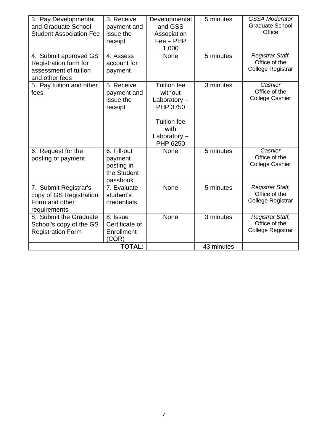| 3. Pay Developmental<br>and Graduate School<br><b>Student Association Fee</b>             | 3. Receive<br>payment and<br>issue the<br>receipt               | Developmental<br>and GSS<br>Association<br>$Fee - PHP$<br>1,000                                                                | 5 minutes  | <b>GSSA Moderator</b><br><b>Graduate School</b><br>Office |
|-------------------------------------------------------------------------------------------|-----------------------------------------------------------------|--------------------------------------------------------------------------------------------------------------------------------|------------|-----------------------------------------------------------|
| 4. Submit approved GS<br>Registration form for<br>assessment of tuition<br>and other fees | 4. Assess<br>account for<br>payment                             | None                                                                                                                           | 5 minutes  | Registrar Staff,<br>Office of the<br>College Registrar    |
| 5. Pay tuition and other<br>fees                                                          | 5. Receive<br>payment and<br>issue the<br>receipt               | <b>Tuition fee</b><br>without<br>Laboratory $-$<br><b>PHP 3750</b><br><b>Tuition fee</b><br>with<br>Laboratory $-$<br>PHP 6250 | 3 minutes  | Cashier<br>Office of the<br><b>College Cashier</b>        |
| 6. Request for the<br>posting of payment                                                  | 6. Fill-out<br>payment<br>posting in<br>the Student<br>passbook | None                                                                                                                           | 5 minutes  | Cashier<br>Office of the<br><b>College Cashier</b>        |
| 7. Submit Registrar's<br>copy of GS Registration<br>Form and other<br>requirements        | 7. Evaluate<br>student's<br>credentials                         | None                                                                                                                           | 5 minutes  | Registrar Staff,<br>Office of the<br>College Registrar    |
| 8. Submit the Graduate<br>School's copy of the GS<br><b>Registration Form</b>             | 8. Issue<br>Certificate of<br>Enrollment<br>(COR)               | <b>None</b>                                                                                                                    | 3 minutes  | Registrar Staff,<br>Office of the<br>College Registrar    |
|                                                                                           | <b>TOTAL:</b>                                                   |                                                                                                                                | 43 minutes |                                                           |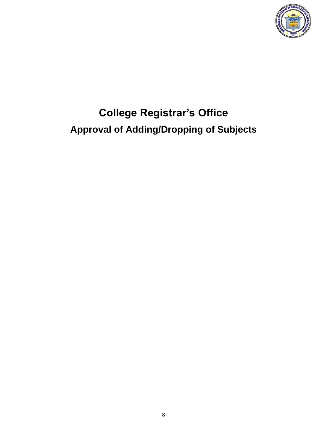

# **College Registrar's Office Approval of Adding/Dropping of Subjects**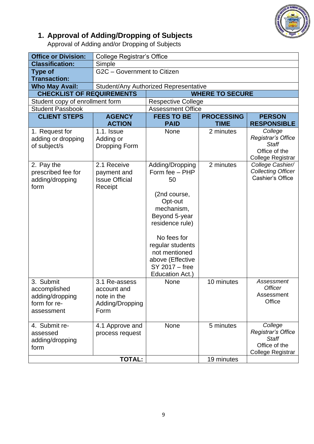

#### **1. Approval of Adding/Dropping of Subjects**

Approval of Adding and/or Dropping of Subjects

| <b>Office or Division:</b>       | <b>College Registrar's Office</b>     |                           |                   |                                    |  |
|----------------------------------|---------------------------------------|---------------------------|-------------------|------------------------------------|--|
| <b>Classification:</b>           | Simple                                |                           |                   |                                    |  |
| <b>Type of</b>                   | G2C - Government to Citizen           |                           |                   |                                    |  |
| <b>Transaction:</b>              |                                       |                           |                   |                                    |  |
| <b>Who May Avail:</b>            | Student/Any Authorized Representative |                           |                   |                                    |  |
| <b>CHECKLIST OF REQUIREMENTS</b> |                                       | <b>WHERE TO SECURE</b>    |                   |                                    |  |
| Student copy of enrollment form  |                                       | <b>Respective College</b> |                   |                                    |  |
| <b>Student Passbook</b>          |                                       | <b>Assessment Office</b>  |                   |                                    |  |
| <b>CLIENT STEPS</b>              | <b>AGENCY</b>                         | <b>FEES TO BE</b>         | <b>PROCESSING</b> | <b>PERSON</b>                      |  |
|                                  | <b>ACTION</b>                         | <b>PAID</b>               | <b>TIME</b>       | <b>RESPONSIBLE</b>                 |  |
| 1. Request for                   | $1.1.$ Issue                          | None                      | 2 minutes         | College                            |  |
| adding or dropping               | Adding or                             |                           |                   | Registrar's Office<br><b>Staff</b> |  |
| of subject/s                     | Dropping Form                         |                           |                   | Office of the                      |  |
|                                  |                                       |                           |                   | College Registrar                  |  |
| 2. Pay the                       | 2.1 Receive                           | Adding/Dropping           | 2 minutes         | College Cashier/                   |  |
| prescribed fee for               | payment and                           | Form fee - PHP            |                   | <b>Collecting Officer</b>          |  |
| adding/dropping                  | <b>Issue Official</b>                 | 50                        |                   | Cashier's Office                   |  |
| form                             | Receipt                               |                           |                   |                                    |  |
|                                  |                                       | (2nd course,              |                   |                                    |  |
|                                  |                                       | Opt-out                   |                   |                                    |  |
|                                  |                                       | mechanism,                |                   |                                    |  |
|                                  |                                       | Beyond 5-year             |                   |                                    |  |
|                                  |                                       | residence rule)           |                   |                                    |  |
|                                  |                                       | No fees for               |                   |                                    |  |
|                                  |                                       | regular students          |                   |                                    |  |
|                                  |                                       | not mentioned             |                   |                                    |  |
|                                  |                                       | above (Effective          |                   |                                    |  |
|                                  |                                       | SY 2017 - free            |                   |                                    |  |
|                                  |                                       | Education Act.)           |                   |                                    |  |
| 3. Submit                        | 3.1 Re-assess                         | None                      | 10 minutes        | Assessment                         |  |
| accomplished                     | account and                           |                           |                   | <b>Officer</b>                     |  |
| adding/dropping                  | note in the                           |                           |                   | Assessment                         |  |
| form for re-                     | Adding/Dropping                       |                           |                   | Office                             |  |
| assessment                       | Form                                  |                           |                   |                                    |  |
| 4. Submit re-                    |                                       | None                      | 5 minutes         | College                            |  |
| assessed                         | 4.1 Approve and<br>process request    |                           |                   | Registrar's Office                 |  |
| adding/dropping                  |                                       |                           |                   | <b>Staff</b>                       |  |
| form                             |                                       |                           |                   | Office of the                      |  |
|                                  |                                       |                           |                   | College Registrar                  |  |
|                                  | <b>TOTAL:</b>                         |                           | 19 minutes        |                                    |  |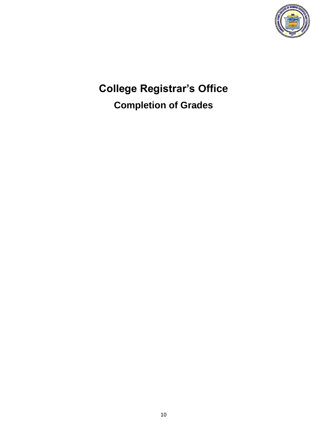

**College Registrar's Office Completion of Grades**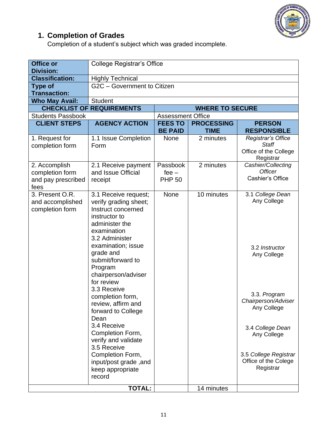

#### **1. Completion of Grades**

Completion of a student's subject which was graded incomplete.

| <b>Office or</b><br><b>Division:</b>                           | <b>College Registrar's Office</b>                                                                                                                                                                                                                              |                                      |                   |                                                                          |  |
|----------------------------------------------------------------|----------------------------------------------------------------------------------------------------------------------------------------------------------------------------------------------------------------------------------------------------------------|--------------------------------------|-------------------|--------------------------------------------------------------------------|--|
| <b>Classification:</b>                                         | <b>Highly Technical</b>                                                                                                                                                                                                                                        |                                      |                   |                                                                          |  |
| <b>Type of</b><br><b>Transaction:</b>                          | G2C - Government to Citizen                                                                                                                                                                                                                                    |                                      |                   |                                                                          |  |
| <b>Who May Avail:</b>                                          | <b>Student</b>                                                                                                                                                                                                                                                 |                                      |                   |                                                                          |  |
|                                                                | <b>CHECKLIST OF REQUIREMENTS</b><br><b>WHERE TO SECURE</b>                                                                                                                                                                                                     |                                      |                   |                                                                          |  |
| <b>Students Passbook</b>                                       |                                                                                                                                                                                                                                                                | <b>Assessment Office</b>             |                   |                                                                          |  |
| <b>CLIENT STEPS</b>                                            | <b>AGENCY ACTION</b>                                                                                                                                                                                                                                           | <b>FEES TO</b>                       | <b>PROCESSING</b> | <b>PERSON</b>                                                            |  |
|                                                                |                                                                                                                                                                                                                                                                | <b>BE PAID</b>                       | <b>TIME</b>       | <b>RESPONSIBLE</b>                                                       |  |
| 1. Request for<br>completion form                              | 1.1 Issue Completion<br>Form                                                                                                                                                                                                                                   | <b>None</b>                          | 2 minutes         | Registrar's Office<br><b>Staff</b><br>Office of the College<br>Registrar |  |
| 2. Accomplish<br>completion form<br>and pay prescribed<br>fees | 2.1 Receive payment<br>and Issue Official<br>receipt                                                                                                                                                                                                           | Passbook<br>$fee -$<br><b>PHP 50</b> | 2 minutes         | Cashier/Collecting<br><b>Officer</b><br>Cashier's Office                 |  |
| 3. Present O.R.<br>and accomplished<br>completion form         | 3.1 Receive request;<br>verify grading sheet;<br>Instruct concerned<br>instructor to<br>administer the<br>examination<br>3.2 Administer<br>examination; issue<br>grade and<br>submit/forward to<br>Program<br>chairperson/adviser<br>for review<br>3.3 Receive | None                                 | 10 minutes        | 3.1 College Dean<br>Any College<br>3.2 Instructor<br>Any College         |  |
|                                                                | completion form,<br>review, affirm and<br>forward to College<br>Dean                                                                                                                                                                                           |                                      |                   | 3.3. Program<br>Chairperson/Adviser<br>Any College                       |  |
|                                                                | 3.4 Receive<br>Completion Form,<br>verify and validate<br>3.5 Receive<br>Completion Form,                                                                                                                                                                      |                                      |                   | 3.4 College Dean<br>Any College<br>3.5 College Registrar                 |  |
|                                                                | input/post grade, and<br>keep appropriate<br>record<br><b>TOTAL:</b>                                                                                                                                                                                           |                                      | 14 minutes        | Office of the Colege<br>Registrar                                        |  |
|                                                                |                                                                                                                                                                                                                                                                |                                      |                   |                                                                          |  |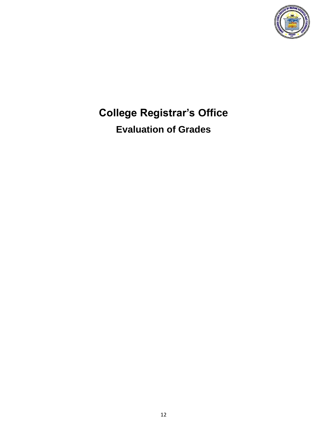

### **College Registrar's Office Evaluation of Grades**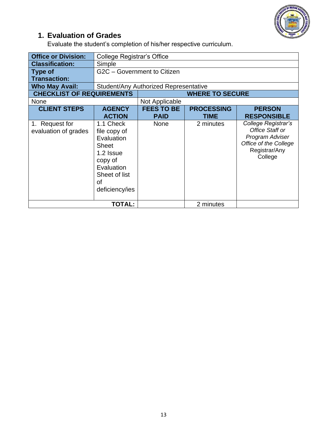

### **1. Evaluation of Grades**

Evaluate the student's completion of his/her respective curriculum.

| <b>Office or Division:</b>             | <b>College Registrar's Office</b>                                                                                                      |                                       |                           |                                                                                                                |
|----------------------------------------|----------------------------------------------------------------------------------------------------------------------------------------|---------------------------------------|---------------------------|----------------------------------------------------------------------------------------------------------------|
| <b>Classification:</b>                 | Simple                                                                                                                                 |                                       |                           |                                                                                                                |
| <b>Type of</b>                         |                                                                                                                                        | G2C - Government to Citizen           |                           |                                                                                                                |
| <b>Transaction:</b>                    |                                                                                                                                        |                                       |                           |                                                                                                                |
| <b>Who May Avail:</b>                  |                                                                                                                                        | Student/Any Authorized Representative |                           |                                                                                                                |
| <b>CHECKLIST OF REQUIREMENTS</b>       |                                                                                                                                        |                                       | <b>WHERE TO SECURE</b>    |                                                                                                                |
| <b>None</b>                            |                                                                                                                                        | Not Applicable                        |                           |                                                                                                                |
| <b>CLIENT STEPS</b>                    | <b>AGENCY</b><br><b>ACTION</b>                                                                                                         | <b>FEES TO BE</b><br><b>PAID</b>      | <b>PROCESSING</b><br>TIME | <b>PERSON</b><br><b>RESPONSIBLE</b>                                                                            |
| 1. Request for<br>evaluation of grades | 1.1 Check<br>file copy of<br>Evaluation<br><b>Sheet</b><br>1.2 Issue<br>copy of<br>Evaluation<br>Sheet of list<br>0f<br>deficiency/ies | <b>None</b>                           | 2 minutes                 | College Registrar's<br>Office Staff or<br>Program Adviser<br>Office of the College<br>Registrar/Any<br>College |
|                                        | <b>TOTAL:</b>                                                                                                                          |                                       | 2 minutes                 |                                                                                                                |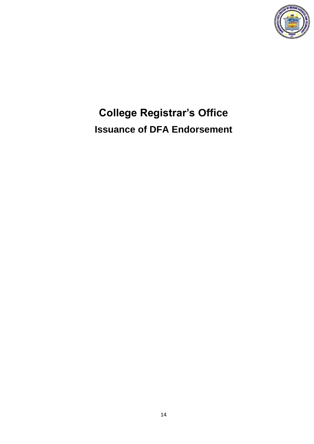

# **College Registrar's Office Issuance of DFA Endorsement**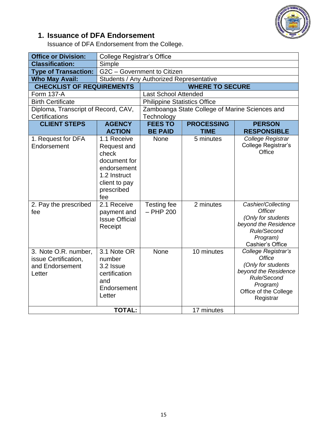

### **1. Issuance of DFA Endorsement**

Issuance of DFA Endorsement from the College.

| <b>Office or Division:</b>                                                | <b>College Registrar's Office</b>                                                                                        |                                     |                                                |                                                                                                                                                     |
|---------------------------------------------------------------------------|--------------------------------------------------------------------------------------------------------------------------|-------------------------------------|------------------------------------------------|-----------------------------------------------------------------------------------------------------------------------------------------------------|
| <b>Classification:</b>                                                    | Simple                                                                                                                   |                                     |                                                |                                                                                                                                                     |
| <b>Type of Transaction:</b>                                               | G2C - Government to Citizen                                                                                              |                                     |                                                |                                                                                                                                                     |
| <b>Who May Avail:</b>                                                     | Students / Any Authorized Representative                                                                                 |                                     |                                                |                                                                                                                                                     |
| <b>CHECKLIST OF REQUIREMENTS</b>                                          |                                                                                                                          |                                     | <b>WHERE TO SECURE</b>                         |                                                                                                                                                     |
| <b>Form 137-A</b>                                                         |                                                                                                                          | <b>Last School Attended</b>         |                                                |                                                                                                                                                     |
| <b>Birth Certificate</b>                                                  |                                                                                                                          | <b>Philippine Statistics Office</b> |                                                |                                                                                                                                                     |
| Diploma, Transcript of Record, CAV,                                       |                                                                                                                          |                                     | Zamboanga State College of Marine Sciences and |                                                                                                                                                     |
| Certifications                                                            |                                                                                                                          | Technology                          |                                                |                                                                                                                                                     |
| <b>CLIENT STEPS</b>                                                       | <b>AGENCY</b>                                                                                                            | <b>FEES TO</b>                      | <b>PROCESSING</b>                              | <b>PERSON</b>                                                                                                                                       |
|                                                                           | <b>ACTION</b>                                                                                                            | <b>BE PAID</b>                      | <b>TIME</b>                                    | <b>RESPONSIBLE</b>                                                                                                                                  |
| 1. Request for DFA<br>Endorsement                                         | 1.1 Receive<br>Request and<br>check<br>document for<br>endorsement<br>1.2 Instruct<br>client to pay<br>prescribed<br>fee | None                                | 5 minutes                                      | College Registrar<br>College Registrar's<br>Office                                                                                                  |
| 2. Pay the prescribed<br>fee                                              | 2.1 Receive<br>payment and<br><b>Issue Official</b><br>Receipt                                                           | Testing fee<br>$-$ PHP 200          | 2 minutes                                      | Cashier/Collecting<br><b>Officer</b><br>(Only for students<br>beyond the Residence<br>Rule/Second<br>Program)<br>Cashier's Office                   |
| 3. Note O.R. number,<br>issue Certification,<br>and Endorsement<br>Letter | 3.1 Note OR<br>number<br>3.2 Issue<br>certification<br>and<br>Endorsement<br>Letter                                      | None                                | 10 minutes                                     | College Registrar's<br><b>Office</b><br>(Only for students<br>beyond the Residence<br>Rule/Second<br>Program)<br>Office of the College<br>Registrar |
|                                                                           | <b>TOTAL:</b>                                                                                                            |                                     | 17 minutes                                     |                                                                                                                                                     |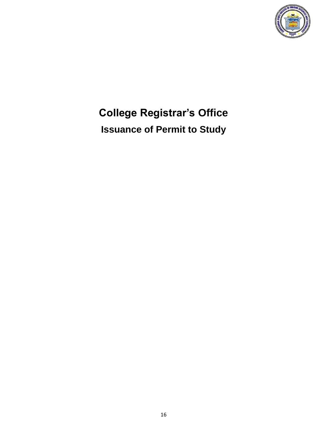

# **College Registrar's Office Issuance of Permit to Study**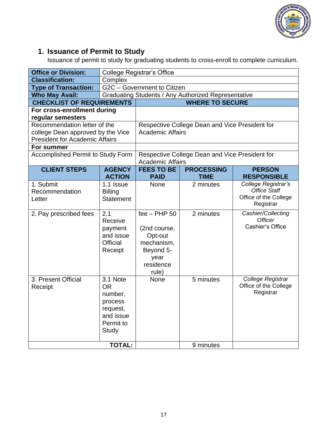

#### **1. Issuance of Permit to Study**

Issuance of permit to study for graduating students to cross-enroll to complete curriculum.

| <b>Office or Division:</b>               |                      | College Registrar's Office  |                                                     |                                              |
|------------------------------------------|----------------------|-----------------------------|-----------------------------------------------------|----------------------------------------------|
| <b>Classification:</b>                   | Complex              |                             |                                                     |                                              |
| <b>Type of Transaction:</b>              |                      | G2C - Government to Citizen |                                                     |                                              |
| <b>Who May Avail:</b>                    |                      |                             | Graduating Students / Any Authorized Representative |                                              |
| <b>CHECKLIST OF REQUIREMENTS</b>         |                      |                             | <b>WHERE TO SECURE</b>                              |                                              |
| For cross-enrollment during              |                      |                             |                                                     |                                              |
| regular semesters                        |                      |                             |                                                     |                                              |
| Recommendation letter of the             |                      |                             | Respective College Dean and Vice President for      |                                              |
| college Dean approved by the Vice        |                      | <b>Academic Affairs</b>     |                                                     |                                              |
| <b>President for Academic Affairs</b>    |                      |                             |                                                     |                                              |
| For summer                               |                      |                             |                                                     |                                              |
| <b>Accomplished Permit to Study Form</b> |                      |                             | Respective College Dean and Vice President for      |                                              |
|                                          |                      | <b>Academic Affairs</b>     |                                                     |                                              |
| <b>CLIENT STEPS</b>                      | <b>AGENCY</b>        | <b>FEES TO BE</b>           | <b>PROCESSING</b>                                   | <b>PERSON</b>                                |
|                                          | <b>ACTION</b>        | <b>PAID</b>                 | <b>TIME</b>                                         | <b>RESPONSIBLE</b>                           |
| 1. Submit                                | 1.1 Issue            | <b>None</b>                 | 2 minutes                                           | College Registrar's                          |
| Recommendation                           | <b>Billing</b>       |                             |                                                     | <b>Office Staff</b><br>Office of the College |
| Letter                                   | <b>Statement</b>     |                             |                                                     | Registrar                                    |
|                                          |                      |                             |                                                     |                                              |
| 2. Pay prescribed fees                   | 2.1                  | $fee - PHP 50$              | 2 minutes                                           | Cashier/Collecting<br><b>Officer</b>         |
|                                          | Receive              |                             |                                                     | Cashier's Office                             |
|                                          | payment<br>and issue | (2nd course,<br>Opt-out     |                                                     |                                              |
|                                          | Official             | mechanism,                  |                                                     |                                              |
|                                          | Receipt              | Beyond 5-                   |                                                     |                                              |
|                                          |                      | year                        |                                                     |                                              |
|                                          |                      | residence                   |                                                     |                                              |
|                                          |                      | rule)                       |                                                     |                                              |
| 3. Present Official                      | 3.1 Note             | <b>None</b>                 | 5 minutes                                           | College Registrar                            |
| Receipt                                  | <b>OR</b>            |                             |                                                     | Office of the College                        |
|                                          | number,              |                             |                                                     | Registrar                                    |
|                                          | process              |                             |                                                     |                                              |
|                                          | request,             |                             |                                                     |                                              |
|                                          | and issue            |                             |                                                     |                                              |
|                                          | Permit to            |                             |                                                     |                                              |
|                                          | <b>Study</b>         |                             |                                                     |                                              |
|                                          |                      |                             |                                                     |                                              |
|                                          | <b>TOTAL:</b>        |                             | 9 minutes                                           |                                              |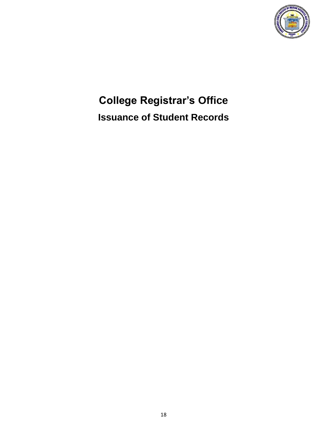

# **College Registrar's Office Issuance of Student Records**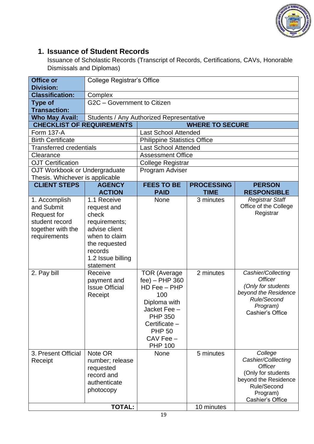

#### **1. Issuance of Student Records**

Issuance of Scholastic Records (Transcript of Records, Certifications, CAVs, Honorable Dismissals and Diplomas)

| <b>Office or</b><br><b>Division:</b>                                                                                    | <b>College Registrar's Office</b>                                                                                                                                                                                  |                                                                                                                                                          |                        |                                                                                                                                                                                                   |
|-------------------------------------------------------------------------------------------------------------------------|--------------------------------------------------------------------------------------------------------------------------------------------------------------------------------------------------------------------|----------------------------------------------------------------------------------------------------------------------------------------------------------|------------------------|---------------------------------------------------------------------------------------------------------------------------------------------------------------------------------------------------|
| <b>Classification:</b>                                                                                                  | Complex                                                                                                                                                                                                            |                                                                                                                                                          |                        |                                                                                                                                                                                                   |
| <b>Type of</b><br><b>Transaction:</b>                                                                                   | G2C - Government to Citizen                                                                                                                                                                                        |                                                                                                                                                          |                        |                                                                                                                                                                                                   |
| <b>Who May Avail:</b>                                                                                                   | Students / Any Authorized Representative                                                                                                                                                                           |                                                                                                                                                          |                        |                                                                                                                                                                                                   |
| <b>CHECKLIST OF REQUIREMENTS</b>                                                                                        |                                                                                                                                                                                                                    |                                                                                                                                                          | <b>WHERE TO SECURE</b> |                                                                                                                                                                                                   |
| <b>Form 137-A</b>                                                                                                       |                                                                                                                                                                                                                    | <b>Last School Attended</b>                                                                                                                              |                        |                                                                                                                                                                                                   |
| <b>Birth Certificate</b>                                                                                                |                                                                                                                                                                                                                    | <b>Philippine Statistics Office</b>                                                                                                                      |                        |                                                                                                                                                                                                   |
| <b>Transferred credentials</b>                                                                                          |                                                                                                                                                                                                                    | <b>Last School Attended</b>                                                                                                                              |                        |                                                                                                                                                                                                   |
| Clearance                                                                                                               |                                                                                                                                                                                                                    | <b>Assessment Office</b>                                                                                                                                 |                        |                                                                                                                                                                                                   |
| <b>OJT Certification</b>                                                                                                |                                                                                                                                                                                                                    | <b>College Registrar</b>                                                                                                                                 |                        |                                                                                                                                                                                                   |
| OJT Workbook or Undergraduate                                                                                           |                                                                                                                                                                                                                    | Program Adviser                                                                                                                                          |                        |                                                                                                                                                                                                   |
| Thesis. Whichever is applicable                                                                                         |                                                                                                                                                                                                                    |                                                                                                                                                          |                        |                                                                                                                                                                                                   |
| <b>CLIENT STEPS</b>                                                                                                     | <b>AGENCY</b>                                                                                                                                                                                                      | <b>FEES TO BE</b>                                                                                                                                        | <b>PROCESSING</b>      | <b>PERSON</b>                                                                                                                                                                                     |
|                                                                                                                         | <b>ACTION</b>                                                                                                                                                                                                      | <b>PAID</b>                                                                                                                                              | <b>TIME</b>            | <b>RESPONSIBLE</b>                                                                                                                                                                                |
| 1. Accomplish<br>and Submit<br><b>Request for</b><br>student record<br>together with the<br>requirements<br>2. Pay bill | 1.1 Receive<br>request and<br>check<br>requirements;<br>advise client<br>when to claim<br>the requested<br>records<br>1.2 Issue billing<br>statement<br>Receive<br>payment and<br><b>Issue Official</b><br>Receipt | None<br><b>TOR (Average</b><br>fee) - PHP 360<br>HD Fee - PHP<br>100<br>Diploma with<br>Jacket Fee -<br><b>PHP 350</b><br>Certificate -<br><b>PHP 50</b> | 3 minutes<br>2 minutes | <b>Registrar Staff</b><br>Office of the College<br>Registrar<br>Cashier/Collecting<br><b>Officer</b><br>(Only for students<br>beyond the Residence<br>Rule/Second<br>Program)<br>Cashier's Office |
| 3. Present Official<br>Receipt                                                                                          | Note OR<br>number; release<br>requested<br>record and<br>authenticate<br>photocopy                                                                                                                                 | CAV Fee -<br><b>PHP 100</b><br>None                                                                                                                      | 5 minutes              | College<br>Cashier/Colllecting<br><b>Officer</b><br>(Only for students<br>beyond the Residence<br>Rule/Second<br>Program)<br>Cashier's Office                                                     |
|                                                                                                                         | <b>TOTAL:</b>                                                                                                                                                                                                      |                                                                                                                                                          | 10 minutes             |                                                                                                                                                                                                   |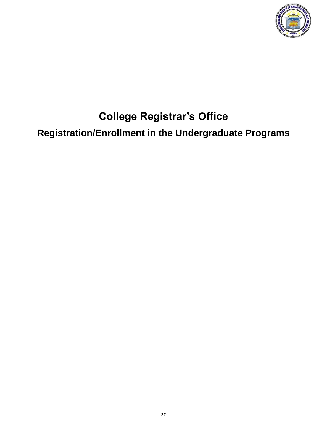

### **College Registrar's Office**

**Registration/Enrollment in the Undergraduate Programs**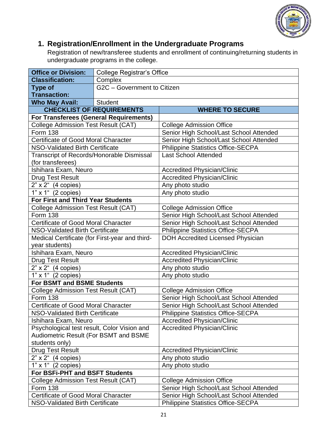

### **1. Registration/Enrollment in the Undergraduate Programs**

Registration of new/transferee students and enrollment of continuing/returning students in undergraduate programs in the college.

| <b>Office or Division:</b>                       | <b>College Registrar's Office</b> |                                           |  |  |  |
|--------------------------------------------------|-----------------------------------|-------------------------------------------|--|--|--|
| <b>Classification:</b>                           | Complex                           |                                           |  |  |  |
| <b>Type of</b>                                   | G2C - Government to Citizen       |                                           |  |  |  |
| <b>Transaction:</b>                              |                                   |                                           |  |  |  |
| <b>Who May Avail:</b>                            | <b>Student</b>                    |                                           |  |  |  |
|                                                  | <b>CHECKLIST OF REQUIREMENTS</b>  | <b>WHERE TO SECURE</b>                    |  |  |  |
| For Transferees (General Requirements)           |                                   |                                           |  |  |  |
| <b>College Admission Test Result (CAT)</b>       |                                   | <b>College Admission Office</b>           |  |  |  |
| <b>Form 138</b>                                  |                                   | Senior High School/Last School Attended   |  |  |  |
| Certificate of Good Moral Character              |                                   | Senior High School/Last School Attended   |  |  |  |
| NSO-Validated Birth Certificate                  |                                   | <b>Philippine Statistics Office-SECPA</b> |  |  |  |
| <b>Transcript of Records/Honorable Dismissal</b> |                                   | <b>Last School Attended</b>               |  |  |  |
| (for transferees)                                |                                   |                                           |  |  |  |
| Ishihara Exam, Neuro                             |                                   | <b>Accredited Physician/Clinic</b>        |  |  |  |
| <b>Drug Test Result</b>                          |                                   | <b>Accredited Physician/Clinic</b>        |  |  |  |
| $2"$ x $2"$ (4 copies)                           |                                   | Any photo studio                          |  |  |  |
| 1" x 1" (2 copies)                               |                                   | Any photo studio                          |  |  |  |
| <b>For First and Third Year Students</b>         |                                   |                                           |  |  |  |
| <b>College Admission Test Result (CAT)</b>       |                                   | <b>College Admission Office</b>           |  |  |  |
| <b>Form 138</b>                                  |                                   | Senior High School/Last School Attended   |  |  |  |
| Certificate of Good Moral Character              |                                   | Senior High School/Last School Attended   |  |  |  |
| NSO-Validated Birth Certificate                  |                                   | <b>Philippine Statistics Office-SECPA</b> |  |  |  |
| Medical Certificate (for First-year and third-   |                                   | DOH Accredited Licensed Physician         |  |  |  |
| year students)                                   |                                   |                                           |  |  |  |
| Ishihara Exam, Neuro                             |                                   | <b>Accredited Physician/Clinic</b>        |  |  |  |
| <b>Drug Test Result</b>                          |                                   | <b>Accredited Physician/Clinic</b>        |  |  |  |
| $2" \times 2"$ (4 copies)                        |                                   | Any photo studio                          |  |  |  |
| 1" x 1" (2 copies)                               |                                   | Any photo studio                          |  |  |  |
| For BSMT and BSME Students                       |                                   |                                           |  |  |  |
| <b>College Admission Test Result (CAT)</b>       |                                   | <b>College Admission Office</b>           |  |  |  |
| <b>Form 138</b>                                  |                                   | Senior High School/Last School Attended   |  |  |  |
| Certificate of Good Moral Character              |                                   | Senior High School/Last School Attended   |  |  |  |
| NSO-Validated Birth Certificate                  |                                   | <b>Philippine Statistics Office-SECPA</b> |  |  |  |
| Ishihara Exam, Neuro                             |                                   | <b>Accredited Physician/Clinic</b>        |  |  |  |
| Psychological test result, Color Vision and      |                                   | <b>Accredited Physician/Clinic</b>        |  |  |  |
| Audiometric Result (For BSMT and BSME            |                                   |                                           |  |  |  |
| students only)                                   |                                   |                                           |  |  |  |
| <b>Drug Test Result</b>                          |                                   | <b>Accredited Physician/Clinic</b>        |  |  |  |
| $2" \times 2"$ (4 copies)                        |                                   | Any photo studio                          |  |  |  |
| 1" x 1" (2 copies)                               |                                   | Any photo studio                          |  |  |  |
| For BSFi-PHT and BSFT Students                   |                                   |                                           |  |  |  |
| College Admission Test Result (CAT)              |                                   | <b>College Admission Office</b>           |  |  |  |
| <b>Form 138</b>                                  |                                   | Senior High School/Last School Attended   |  |  |  |
| <b>Certificate of Good Moral Character</b>       |                                   | Senior High School/Last School Attended   |  |  |  |
| NSO-Validated Birth Certificate                  |                                   | <b>Philippine Statistics Office-SECPA</b> |  |  |  |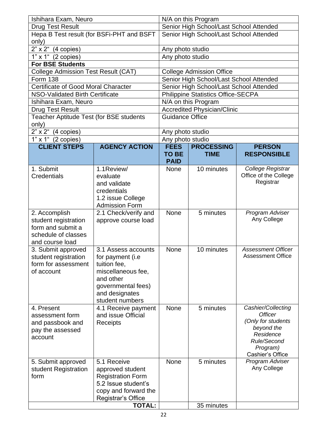| Ishihara Exam, Neuro                             |                                     | N/A on this Program                     |                                           |                                  |  |
|--------------------------------------------------|-------------------------------------|-----------------------------------------|-------------------------------------------|----------------------------------|--|
| <b>Drug Test Result</b>                          |                                     | Senior High School/Last School Attended |                                           |                                  |  |
| Hepa B Test result (for BSFi-PHT and BSFT        |                                     | Senior High School/Last School Attended |                                           |                                  |  |
| only)                                            |                                     |                                         |                                           |                                  |  |
| $2"x 2"$ (4 copies)                              |                                     | Any photo studio                        |                                           |                                  |  |
| $1" \times 1"$ (2 copies)                        |                                     | Any photo studio                        |                                           |                                  |  |
| <b>For BSE Students</b>                          |                                     |                                         |                                           |                                  |  |
| <b>College Admission Test Result (CAT)</b>       |                                     |                                         | <b>College Admission Office</b>           |                                  |  |
| <b>Form 138</b>                                  |                                     |                                         | Senior High School/Last School Attended   |                                  |  |
| <b>Certificate of Good Moral Character</b>       |                                     |                                         | Senior High School/Last School Attended   |                                  |  |
| <b>NSO-Validated Birth Certificate</b>           |                                     |                                         | <b>Philippine Statistics Office-SECPA</b> |                                  |  |
| Ishihara Exam, Neuro                             |                                     |                                         | N/A on this Program                       |                                  |  |
| <b>Drug Test Result</b>                          |                                     |                                         | <b>Accredited Physician/Clinic</b>        |                                  |  |
| Teacher Aptitude Test (for BSE students<br>only) |                                     | <b>Guidance Office</b>                  |                                           |                                  |  |
| $2" \times 2"$ (4 copies)                        |                                     | Any photo studio                        |                                           |                                  |  |
| 1" x 1" (2 copies)                               |                                     | Any photo studio                        |                                           |                                  |  |
| <b>CLIENT STEPS</b>                              | <b>AGENCY ACTION</b>                | <b>FEES</b>                             | <b>PROCESSING</b>                         | <b>PERSON</b>                    |  |
|                                                  |                                     | <b>TO BE</b>                            | <b>TIME</b>                               | <b>RESPONSIBLE</b>               |  |
|                                                  |                                     | <b>PAID</b>                             |                                           |                                  |  |
| 1. Submit                                        | 1.1Review/                          | <b>None</b>                             | 10 minutes                                | College Registrar                |  |
| <b>Credentials</b>                               | evaluate                            |                                         |                                           | Office of the College            |  |
|                                                  | and validate                        |                                         |                                           | Registrar                        |  |
|                                                  | credentials                         |                                         |                                           |                                  |  |
|                                                  | 1.2 issue College                   |                                         |                                           |                                  |  |
|                                                  | <b>Admission Form</b>               |                                         |                                           |                                  |  |
| 2. Accomplish                                    | 2.1 Check/verify and                | None                                    | 5 minutes                                 | Program Adviser                  |  |
| student registration                             | approve course load                 |                                         |                                           | Any College                      |  |
| form and submit a                                |                                     |                                         |                                           |                                  |  |
| schedule of classes<br>and course load           |                                     |                                         |                                           |                                  |  |
| 3. Submit approved                               | 3.1 Assess accounts                 | None                                    | 10 minutes                                | <b>Assessment Officer</b>        |  |
| student registration                             | for payment (i.e                    |                                         |                                           | <b>Assessment Office</b>         |  |
| form for assessment                              | tuition fee,                        |                                         |                                           |                                  |  |
| of account                                       | miscellaneous fee,                  |                                         |                                           |                                  |  |
|                                                  | and other                           |                                         |                                           |                                  |  |
|                                                  | governmental fees)                  |                                         |                                           |                                  |  |
|                                                  | and designates                      |                                         |                                           |                                  |  |
|                                                  | student numbers                     |                                         |                                           |                                  |  |
| 4. Present                                       | 4.1 Receive payment                 | None                                    | 5 minutes                                 | Cashier/Collecting               |  |
| assessment form                                  | and issue Official                  |                                         |                                           | <b>Officer</b>                   |  |
| and passbook and                                 | Receipts                            |                                         |                                           | (Only for students<br>beyond the |  |
| pay the assessed                                 |                                     |                                         |                                           | Residence                        |  |
| account                                          |                                     |                                         |                                           | Rule/Second                      |  |
|                                                  |                                     |                                         |                                           | Program)                         |  |
|                                                  |                                     |                                         |                                           | Cashier's Office                 |  |
| 5. Submit approved                               | 5.1 Receive                         | None                                    | 5 minutes                                 | Program Adviser                  |  |
| student Registration                             | approved student                    |                                         |                                           | Any College                      |  |
| form                                             | <b>Registration Form</b>            |                                         |                                           |                                  |  |
|                                                  | 5.2 Issue student's                 |                                         |                                           |                                  |  |
|                                                  | copy and forward the                |                                         |                                           |                                  |  |
|                                                  | Registrar's Office<br><b>TOTAL:</b> |                                         | 35 minutes                                |                                  |  |
|                                                  |                                     |                                         |                                           |                                  |  |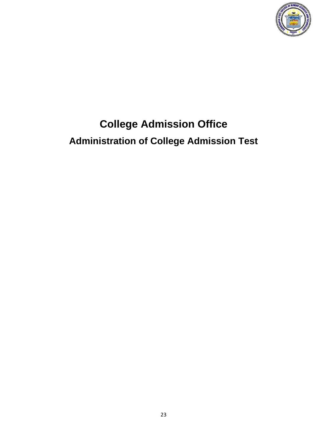

# **College Admission Office Administration of College Admission Test**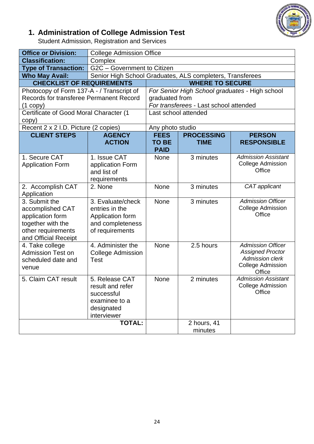

#### **1. Administration of College Admission Test**

Student Admission, Registration and Services

| <b>Office or Division:</b>                                                                                               | <b>College Admission Office</b>                                                                |                                            |                                                |                                                                                                              |
|--------------------------------------------------------------------------------------------------------------------------|------------------------------------------------------------------------------------------------|--------------------------------------------|------------------------------------------------|--------------------------------------------------------------------------------------------------------------|
| <b>Classification:</b>                                                                                                   | Complex                                                                                        |                                            |                                                |                                                                                                              |
| <b>Type of Transaction:</b>                                                                                              | G2C - Government to Citizen                                                                    |                                            |                                                |                                                                                                              |
| <b>Who May Avail:</b>                                                                                                    | Senior High School Graduates, ALS completers, Transferees                                      |                                            |                                                |                                                                                                              |
| <b>CHECKLIST OF REQUIREMENTS</b>                                                                                         |                                                                                                |                                            | <b>WHERE TO SECURE</b>                         |                                                                                                              |
| Photocopy of Form 137-A - / Transcript of                                                                                |                                                                                                |                                            | For Senior High School graduates - High school |                                                                                                              |
| Records for transferee Permanent Record                                                                                  |                                                                                                | graduated from                             |                                                |                                                                                                              |
| $(1$ copy)                                                                                                               |                                                                                                |                                            | For transferees - Last school attended         |                                                                                                              |
| Certificate of Good Moral Character (1                                                                                   |                                                                                                |                                            | Last school attended                           |                                                                                                              |
| copy)                                                                                                                    |                                                                                                |                                            |                                                |                                                                                                              |
| Recent 2 x 2 I.D. Picture (2 copies)                                                                                     |                                                                                                | Any photo studio                           |                                                |                                                                                                              |
| <b>CLIENT STEPS</b>                                                                                                      | <b>AGENCY</b><br><b>ACTION</b>                                                                 | <b>FEES</b><br><b>TO BE</b><br><b>PAID</b> | <b>PROCESSING</b><br><b>TIME</b>               | <b>PERSON</b><br><b>RESPONSIBLE</b>                                                                          |
| 1. Secure CAT<br><b>Application Form</b>                                                                                 | 1. Issue CAT<br>application Form<br>and list of<br>requirements                                | None                                       | 3 minutes                                      | <b>Admission Assistant</b><br><b>College Admission</b><br>Office                                             |
| 2. Accomplish CAT<br>Application                                                                                         | 2. None                                                                                        | None                                       | 3 minutes                                      | CAT applicant                                                                                                |
| 3. Submit the<br>accomplished CAT<br>application form<br>together with the<br>other requirements<br>and Official Receipt | 3. Evaluate/check<br>entries in the<br>Application form<br>and completeness<br>of requirements | None                                       | 3 minutes                                      | <b>Admission Officer</b><br><b>College Admission</b><br>Office                                               |
| 4. Take college<br><b>Admission Test on</b><br>scheduled date and<br>venue                                               | 4. Administer the<br><b>College Admission</b><br>Test                                          | None                                       | 2.5 hours                                      | <b>Admission Officer</b><br><b>Assigned Proctor</b><br><b>Admission clerk</b><br>College Admission<br>Office |
| 5. Claim CAT result                                                                                                      | 5. Release CAT<br>result and refer<br>successful<br>examinee to a<br>designated<br>interviewer | None                                       | 2 minutes                                      | <b>Admission Assistant</b><br>College Admission<br>Office                                                    |
|                                                                                                                          | <b>TOTAL:</b>                                                                                  |                                            | 2 hours, 41<br>minutes                         |                                                                                                              |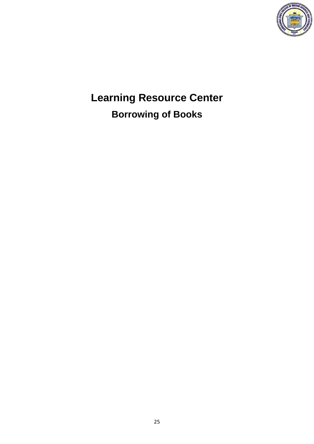

**Learning Resource Center Borrowing of Books**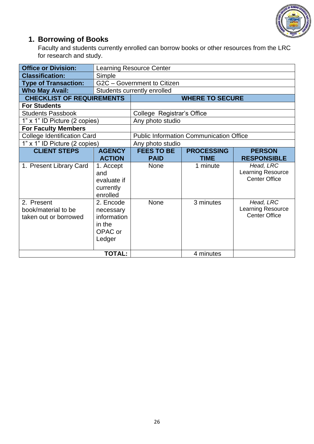

### **1. Borrowing of Books**

Faculty and students currently enrolled can borrow books or other resources from the LRC for research and study.

| <b>Office or Division:</b>                                 | <b>Learning Resource Center</b>                                      |                                                |                        |                                                        |  |  |
|------------------------------------------------------------|----------------------------------------------------------------------|------------------------------------------------|------------------------|--------------------------------------------------------|--|--|
| <b>Classification:</b>                                     | Simple                                                               |                                                |                        |                                                        |  |  |
| <b>Type of Transaction:</b>                                | G2C - Government to Citizen                                          |                                                |                        |                                                        |  |  |
| <b>Who May Avail:</b>                                      |                                                                      | Students currently enrolled                    |                        |                                                        |  |  |
| <b>CHECKLIST OF REQUIREMENTS</b>                           |                                                                      |                                                | <b>WHERE TO SECURE</b> |                                                        |  |  |
| <b>For Students</b>                                        |                                                                      |                                                |                        |                                                        |  |  |
| <b>Students Passbook</b>                                   |                                                                      | College Registrar's Office                     |                        |                                                        |  |  |
| 1" x 1" ID Picture (2 copies)                              |                                                                      | Any photo studio                               |                        |                                                        |  |  |
| <b>For Faculty Members</b>                                 |                                                                      |                                                |                        |                                                        |  |  |
| <b>College Identification Card</b>                         |                                                                      | <b>Public Information Communication Office</b> |                        |                                                        |  |  |
| 1" x 1" ID Picture (2 copies)                              |                                                                      | Any photo studio                               |                        |                                                        |  |  |
| <b>CLIENT STEPS</b>                                        | <b>AGENCY</b>                                                        | <b>FEES TO BE</b>                              | <b>PROCESSING</b>      | <b>PERSON</b>                                          |  |  |
|                                                            | <b>ACTION</b>                                                        | <b>PAID</b>                                    | <b>TIME</b>            | <b>RESPONSIBLE</b>                                     |  |  |
| 1. Present Library Card                                    | 1. Accept<br>and<br>evaluate if<br>currently<br>enrolled             | <b>None</b>                                    | 1 minute               | Head, LRC<br>Learning Resource<br><b>Center Office</b> |  |  |
| 2. Present<br>book/material to be<br>taken out or borrowed | 2. Encode<br>necessary<br>information<br>in the<br>OPAC or<br>Ledger | None                                           | 3 minutes              | Head, LRC<br>Learning Resource<br><b>Center Office</b> |  |  |
| <b>TOTAL:</b>                                              |                                                                      |                                                | 4 minutes              |                                                        |  |  |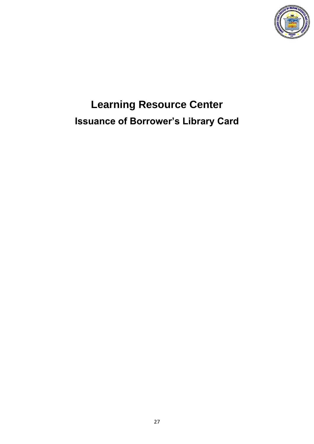

# **Learning Resource Center Issuance of Borrower's Library Card**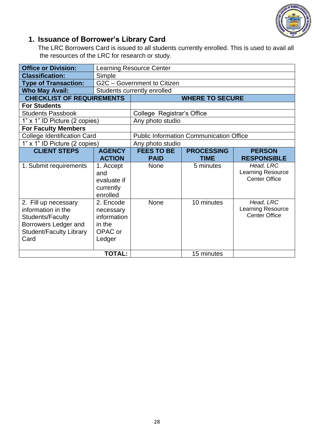

### **1. Issuance of Borrower's Library Card**

The LRC Borrowers Card is issued to all students currently enrolled. This is used to avail all the resources of the LRC for research or study.

| <b>Office or Division:</b>                                                                                                              | <b>Learning Resource Center</b>                                      |                                                |                        |                                                        |  |  |
|-----------------------------------------------------------------------------------------------------------------------------------------|----------------------------------------------------------------------|------------------------------------------------|------------------------|--------------------------------------------------------|--|--|
| <b>Classification:</b>                                                                                                                  | Simple                                                               |                                                |                        |                                                        |  |  |
| <b>Type of Transaction:</b>                                                                                                             | G2C - Government to Citizen                                          |                                                |                        |                                                        |  |  |
| <b>Who May Avail:</b>                                                                                                                   |                                                                      | Students currently enrolled                    |                        |                                                        |  |  |
| <b>CHECKLIST OF REQUIREMENTS</b>                                                                                                        |                                                                      |                                                | <b>WHERE TO SECURE</b> |                                                        |  |  |
| <b>For Students</b>                                                                                                                     |                                                                      |                                                |                        |                                                        |  |  |
| <b>Students Passbook</b>                                                                                                                |                                                                      | College Registrar's Office                     |                        |                                                        |  |  |
| 1" x 1" ID Picture (2 copies)                                                                                                           |                                                                      | Any photo studio                               |                        |                                                        |  |  |
| <b>For Faculty Members</b>                                                                                                              |                                                                      |                                                |                        |                                                        |  |  |
| <b>College Identification Card</b>                                                                                                      |                                                                      | <b>Public Information Communication Office</b> |                        |                                                        |  |  |
| 1" x 1" ID Picture (2 copies)                                                                                                           |                                                                      | Any photo studio                               |                        |                                                        |  |  |
| <b>CLIENT STEPS</b>                                                                                                                     | <b>AGENCY</b>                                                        | <b>FEES TO BE</b>                              | <b>PROCESSING</b>      | <b>PERSON</b>                                          |  |  |
|                                                                                                                                         | <b>ACTION</b>                                                        | <b>PAID</b>                                    | <b>TIME</b>            | <b>RESPONSIBLE</b>                                     |  |  |
| 1. Submit requirements                                                                                                                  | 1. Accept<br>and<br>evaluate if<br>currently<br>enrolled             | None                                           | 5 minutes              | Head, LRC<br>Learning Resource<br><b>Center Office</b> |  |  |
| 2. Fill up necessary<br>information in the<br><b>Students/Faculty</b><br>Borrowers Ledger and<br><b>Student/Faculty Library</b><br>Card | 2. Encode<br>necessary<br>information<br>in the<br>OPAC or<br>Ledger | None                                           | 10 minutes             | Head, LRC<br>Learning Resource<br><b>Center Office</b> |  |  |
| <b>TOTAL:</b>                                                                                                                           |                                                                      |                                                | 15 minutes             |                                                        |  |  |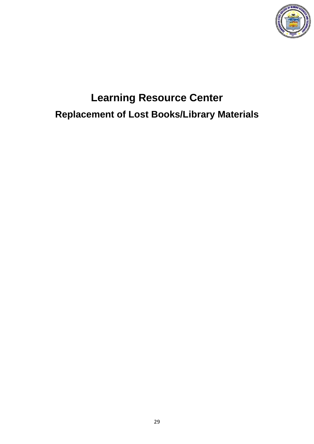

# **Learning Resource Center Replacement of Lost Books/Library Materials**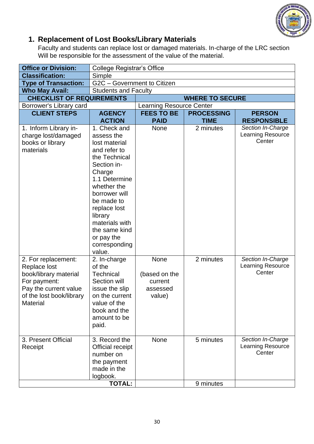

### **1. Replacement of Lost Books/Library Materials**

Faculty and students can replace lost or damaged materials. In-charge of the LRC section Will be responsible for the assessment of the value of the material.

| <b>Office or Division:</b>                  | <b>College Registrar's Office</b> |                                 |                   |                                    |  |
|---------------------------------------------|-----------------------------------|---------------------------------|-------------------|------------------------------------|--|
| <b>Classification:</b>                      | Simple                            |                                 |                   |                                    |  |
| <b>Type of Transaction:</b>                 | G2C - Government to Citizen       |                                 |                   |                                    |  |
| <b>Who May Avail:</b>                       | <b>Students and Faculty</b>       |                                 |                   |                                    |  |
| <b>CHECKLIST OF REQUIREMENTS</b>            |                                   | <b>WHERE TO SECURE</b>          |                   |                                    |  |
| Borrower's Library card                     |                                   | <b>Learning Resource Center</b> |                   |                                    |  |
| <b>CLIENT STEPS</b>                         | <b>AGENCY</b>                     | <b>FEES TO BE</b>               | <b>PROCESSING</b> | <b>PERSON</b>                      |  |
|                                             | <b>ACTION</b>                     | <b>PAID</b>                     | <b>TIME</b>       | <b>RESPONSIBLE</b>                 |  |
| 1. Inform Library in-                       | 1. Check and                      | <b>None</b>                     | 2 minutes         | Section In-Charge                  |  |
| charge lost/damaged                         | assess the                        |                                 |                   | <b>Learning Resource</b><br>Center |  |
| books or library                            | lost material                     |                                 |                   |                                    |  |
| materials                                   | and refer to                      |                                 |                   |                                    |  |
|                                             | the Technical<br>Section in-      |                                 |                   |                                    |  |
|                                             | Charge                            |                                 |                   |                                    |  |
|                                             | 1.1 Determine                     |                                 |                   |                                    |  |
|                                             | whether the                       |                                 |                   |                                    |  |
|                                             | borrower will                     |                                 |                   |                                    |  |
|                                             | be made to                        |                                 |                   |                                    |  |
|                                             | replace lost                      |                                 |                   |                                    |  |
|                                             | library                           |                                 |                   |                                    |  |
|                                             | materials with                    |                                 |                   |                                    |  |
|                                             | the same kind                     |                                 |                   |                                    |  |
|                                             | or pay the                        |                                 |                   |                                    |  |
|                                             | corresponding                     |                                 |                   |                                    |  |
|                                             | value.                            |                                 |                   |                                    |  |
| 2. For replacement:                         | 2. In-charge                      | None                            | 2 minutes         | Section In-Charge                  |  |
| Replace lost                                | of the                            |                                 |                   | <b>Learning Resource</b>           |  |
| book/library material                       | <b>Technical</b>                  | (based on the                   |                   | Center                             |  |
| For payment:                                | Section will                      | current                         |                   |                                    |  |
| Pay the current value                       | issue the slip                    | assessed                        |                   |                                    |  |
| of the lost book/library<br><b>Material</b> | on the current<br>value of the    | value)                          |                   |                                    |  |
|                                             | book and the                      |                                 |                   |                                    |  |
|                                             | amount to be                      |                                 |                   |                                    |  |
|                                             | paid.                             |                                 |                   |                                    |  |
|                                             |                                   |                                 |                   |                                    |  |
| 3. Present Official                         | 3. Record the                     | None                            | 5 minutes         | Section In-Charge                  |  |
| Receipt                                     | Official receipt                  |                                 |                   | Learning Resource                  |  |
|                                             | number on                         |                                 |                   | Center                             |  |
|                                             | the payment                       |                                 |                   |                                    |  |
|                                             | made in the                       |                                 |                   |                                    |  |
|                                             | logbook.                          |                                 |                   |                                    |  |
|                                             | <b>TOTAL:</b>                     |                                 | 9 minutes         |                                    |  |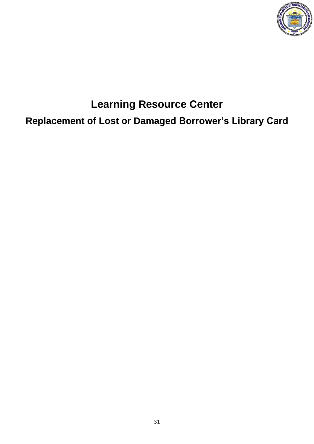

# **Learning Resource Center Replacement of Lost or Damaged Borrower's Library Card**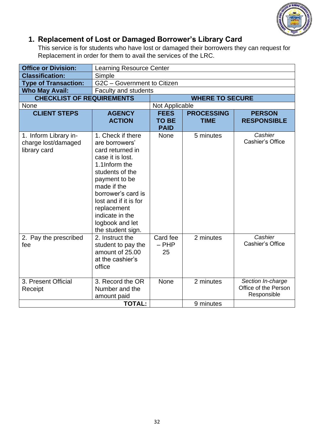

### **1. Replacement of Lost or Damaged Borrower's Library Card**

This service is for students who have lost or damaged their borrowers they can request for Replacement in order for them to avail the services of the LRC.

| <b>Office or Division:</b>                                   | <b>Learning Resource Center</b>                                                                                                                                                                                                                                          |                                            |                                  |                                                          |  |
|--------------------------------------------------------------|--------------------------------------------------------------------------------------------------------------------------------------------------------------------------------------------------------------------------------------------------------------------------|--------------------------------------------|----------------------------------|----------------------------------------------------------|--|
| <b>Classification:</b>                                       | Simple                                                                                                                                                                                                                                                                   |                                            |                                  |                                                          |  |
| <b>Type of Transaction:</b>                                  | G2C - Government to Citizen                                                                                                                                                                                                                                              |                                            |                                  |                                                          |  |
| <b>Who May Avail:</b>                                        | <b>Faculty and students</b>                                                                                                                                                                                                                                              |                                            |                                  |                                                          |  |
| <b>CHECKLIST OF REQUIREMENTS</b>                             |                                                                                                                                                                                                                                                                          |                                            | <b>WHERE TO SECURE</b>           |                                                          |  |
| None                                                         |                                                                                                                                                                                                                                                                          | Not Applicable                             |                                  |                                                          |  |
| <b>CLIENT STEPS</b>                                          | <b>AGENCY</b><br><b>ACTION</b>                                                                                                                                                                                                                                           | <b>FEES</b><br><b>TO BE</b><br><b>PAID</b> | <b>PROCESSING</b><br><b>TIME</b> | <b>PERSON</b><br><b>RESPONSIBLE</b>                      |  |
| 1. Inform Library in-<br>charge lost/damaged<br>library card | 1. Check if there<br>are borrowers'<br>card returned in<br>case it is lost.<br>1.1Inform the<br>students of the<br>payment to be<br>made if the<br>borrower's card is<br>lost and if it is for<br>replacement<br>indicate in the<br>logbook and let<br>the student sign. | <b>None</b>                                | 5 minutes                        | Cashier<br>Cashier's Office                              |  |
| 2. Pay the prescribed<br>fee                                 | 2. Instruct the<br>student to pay the<br>amount of 25.00<br>at the cashier's<br>office                                                                                                                                                                                   | Card fee<br>$-$ PHP<br>25                  | 2 minutes                        | Cashier<br>Cashier's Office                              |  |
| 3. Present Official<br>Receipt                               | 3. Record the OR<br>Number and the<br>amount paid                                                                                                                                                                                                                        | <b>None</b>                                | 2 minutes                        | Section In-charge<br>Office of the Person<br>Responsible |  |
|                                                              | <b>TOTAL:</b>                                                                                                                                                                                                                                                            |                                            | 9 minutes                        |                                                          |  |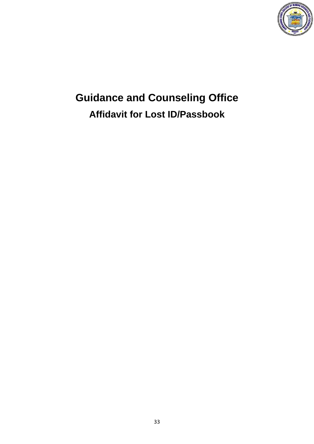

# **Guidance and Counseling Office Affidavit for Lost ID/Passbook**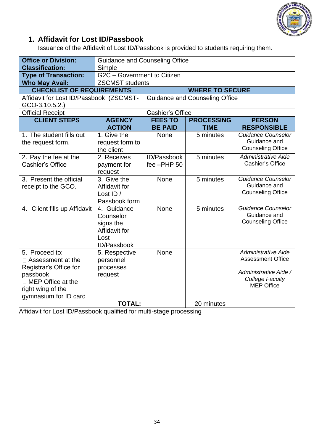

### **1. Affidavit for Lost ID/Passbook**

Issuance of the Affidavit of Lost ID/Passbook is provided to students requiring them.

| <b>Office or Division:</b>                                                                                                                                 | <b>Guidance and Counseling Office</b>                                         |                                       |                                  |                                                                                                                         |  |
|------------------------------------------------------------------------------------------------------------------------------------------------------------|-------------------------------------------------------------------------------|---------------------------------------|----------------------------------|-------------------------------------------------------------------------------------------------------------------------|--|
| <b>Classification:</b>                                                                                                                                     | Simple                                                                        |                                       |                                  |                                                                                                                         |  |
| <b>Type of Transaction:</b>                                                                                                                                | G2C - Government to Citizen                                                   |                                       |                                  |                                                                                                                         |  |
| <b>Who May Avail:</b>                                                                                                                                      | <b>ZSCMST</b> students                                                        |                                       |                                  |                                                                                                                         |  |
| <b>CHECKLIST OF REQUIREMENTS</b>                                                                                                                           |                                                                               | <b>WHERE TO SECURE</b>                |                                  |                                                                                                                         |  |
| Affidavit for Lost ID/Passbook (ZSCMST-<br>$GCO-3.10.5.2.$                                                                                                 |                                                                               | <b>Guidance and Counseling Office</b> |                                  |                                                                                                                         |  |
| <b>Official Receipt</b>                                                                                                                                    |                                                                               | <b>Cashier's Office</b>               |                                  |                                                                                                                         |  |
| <b>CLIENT STEPS</b>                                                                                                                                        | <b>AGENCY</b><br><b>ACTION</b>                                                | <b>FEES TO</b><br><b>BE PAID</b>      | <b>PROCESSING</b><br><b>TIME</b> | <b>PERSON</b><br><b>RESPONSIBLE</b>                                                                                     |  |
| 1. The student fills out<br>the request form.                                                                                                              | 1. Give the<br>request form to<br>the client                                  | None                                  | 5 minutes                        | Guidance Counselor<br>Guidance and<br><b>Counseling Office</b>                                                          |  |
| 2. Pay the fee at the<br>Cashier's Office                                                                                                                  | 2. Receives<br>payment for<br>request                                         | ID/Passbook<br>fee -PHP 50            | 5 minutes                        | <b>Administrative Aide</b><br>Cashier's Office                                                                          |  |
| 3. Present the official<br>receipt to the GCO.                                                                                                             | 3. Give the<br>Affidavit for<br>Lost ID /<br>Passbook form                    | None                                  | 5 minutes                        | <b>Guidance Counselor</b><br>Guidance and<br><b>Counseling Office</b>                                                   |  |
| 4. Client fills up Affidavit                                                                                                                               | 4. Guidance<br>Counselor<br>signs the<br>Affidavit for<br>Lost<br>ID/Passbook | None                                  | 5 minutes                        | <b>Guidance Counselor</b><br>Guidance and<br><b>Counseling Office</b>                                                   |  |
| 5. Proceed to:<br>$\Box$ Assessment at the<br>Registrar's Office for<br>passbook<br>$\Box$ MEP Office at the<br>right wing of the<br>gymnasium for ID card | 5. Respective<br>personnel<br>processes<br>request                            | None                                  |                                  | <b>Administrative Aide</b><br><b>Assessment Office</b><br>Administrative Aide /<br>College Faculty<br><b>MEP Office</b> |  |
|                                                                                                                                                            | <b>TOTAL:</b>                                                                 |                                       | 20 minutes                       |                                                                                                                         |  |

Affidavit for Lost ID/Passbook qualified for multi-stage processing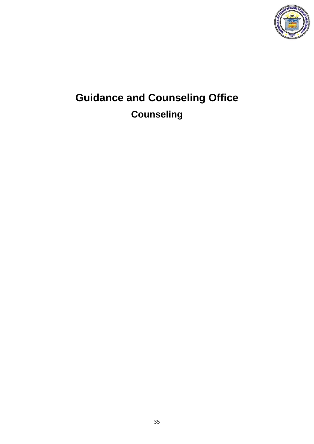

# **Guidance and Counseling Office Counseling**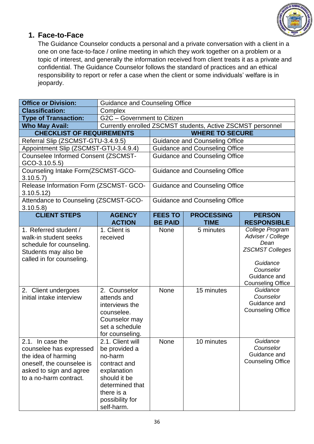

#### **1. Face-to-Face**

The Guidance Counselor conducts a personal and a private conversation with a client in a one on one face-to-face / online meeting in which they work together on a problem or a topic of interest, and generally the information received from client treats it as a private and confidential. The Guidance Counselor follows the standard of practices and an ethical responsibility to report or refer a case when the client or some individuals' welfare is in jeopardy.

| <b>Office or Division:</b>                                                                                                                           | <b>Guidance and Counseling Office</b>                                                                                                                         |                                                             |                                       |                                                                                                                                             |  |
|------------------------------------------------------------------------------------------------------------------------------------------------------|---------------------------------------------------------------------------------------------------------------------------------------------------------------|-------------------------------------------------------------|---------------------------------------|---------------------------------------------------------------------------------------------------------------------------------------------|--|
| <b>Classification:</b>                                                                                                                               | Complex                                                                                                                                                       |                                                             |                                       |                                                                                                                                             |  |
| <b>Type of Transaction:</b>                                                                                                                          | G2C - Government to Citizen                                                                                                                                   |                                                             |                                       |                                                                                                                                             |  |
| <b>Who May Avail:</b>                                                                                                                                |                                                                                                                                                               | Currently enrolled ZSCMST students, Active ZSCMST personnel |                                       |                                                                                                                                             |  |
| <b>CHECKLIST OF REQUIREMENTS</b>                                                                                                                     |                                                                                                                                                               | <b>WHERE TO SECURE</b>                                      |                                       |                                                                                                                                             |  |
| Referral Slip (ZSCMST-GTU-3.4.9.5)                                                                                                                   |                                                                                                                                                               |                                                             | <b>Guidance and Counseling Office</b> |                                                                                                                                             |  |
| Appointment Slip (ZSCMST-GTU-3.4.9.4)                                                                                                                |                                                                                                                                                               |                                                             | <b>Guidance and Counseling Office</b> |                                                                                                                                             |  |
| Counselee Informed Consent (ZSCMST-<br>$GCO-3.10.5.5)$                                                                                               |                                                                                                                                                               | <b>Guidance and Counseling Office</b>                       |                                       |                                                                                                                                             |  |
| Counseling Intake Form(ZSCMST-GCO-<br>3.10.5.7                                                                                                       |                                                                                                                                                               | <b>Guidance and Counseling Office</b>                       |                                       |                                                                                                                                             |  |
| Release Information Form (ZSCMST- GCO-<br>3.10.5.12)                                                                                                 |                                                                                                                                                               |                                                             | Guidance and Counseling Office        |                                                                                                                                             |  |
| Attendance to Counseling (ZSCMST-GCO-<br>3.10.5.8                                                                                                    |                                                                                                                                                               |                                                             | Guidance and Counseling Office        |                                                                                                                                             |  |
| <b>CLIENT STEPS</b>                                                                                                                                  | <b>AGENCY</b><br><b>ACTION</b>                                                                                                                                | <b>FEES TO</b><br><b>BE PAID</b>                            | <b>PROCESSING</b><br><b>TIME</b>      | <b>PERSON</b><br><b>RESPONSIBLE</b>                                                                                                         |  |
| 1. Referred student /<br>walk-in student seeks<br>schedule for counseling.<br>Students may also be<br>called in for counseling.                      | 1. Client is<br>received                                                                                                                                      | <b>None</b>                                                 | 5 minutes                             | College Program<br>Adviser / College<br>Dean<br><b>ZSCMST Colleges</b><br>Guidance<br>Counselor<br>Guidance and<br><b>Counseling Office</b> |  |
| 2. Client undergoes<br>initial intake interview                                                                                                      | 2. Counselor<br>attends and<br>interviews the<br>counselee.<br>Counselor may<br>set a schedule<br>for counseling.                                             | <b>None</b>                                                 | 15 minutes                            | Guidance<br>Counselor<br>Guidance and<br><b>Counseling Office</b>                                                                           |  |
| 2.1. In case the<br>counselee has expressed<br>the idea of harming<br>oneself, the counselee is<br>asked to sign and agree<br>to a no-harm contract. | 2.1. Client will<br>be provided a<br>no-harm<br>contract and<br>explanation<br>should it be<br>determined that<br>there is a<br>possibility for<br>self-harm. | None                                                        | 10 minutes                            | Guidance<br>Counselor<br>Guidance and<br><b>Counseling Office</b>                                                                           |  |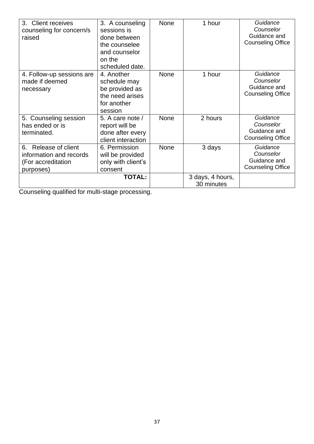| 3. Client receives<br>counseling for concern/s<br>raised                           | 3. A counseling<br>sessions is<br>done between<br>the counselee<br>and counselor<br>on the<br>scheduled date. | <b>None</b>                    | 1 hour  | Guidance<br>Counselor<br>Guidance and<br><b>Counseling Office</b> |
|------------------------------------------------------------------------------------|---------------------------------------------------------------------------------------------------------------|--------------------------------|---------|-------------------------------------------------------------------|
| 4. Follow-up sessions are<br>made if deemed<br>necessary                           | 4. Another<br>schedule may<br>be provided as<br>the need arises<br>for another<br>session                     | <b>None</b>                    | 1 hour  | Guidance<br>Counselor<br>Guidance and<br><b>Counseling Office</b> |
| 5. Counseling session<br>has ended or is<br>terminated.                            | 5. A care note /<br>report will be<br>done after every<br>client interaction                                  | <b>None</b>                    | 2 hours | Guidance<br>Counselor<br>Guidance and<br><b>Counseling Office</b> |
| 6. Release of client<br>information and records<br>(For accreditation<br>purposes) | 6. Permission<br>will be provided<br>only with client's<br>consent                                            | <b>None</b>                    | 3 days  | Guidance<br>Counselor<br>Guidance and<br><b>Counseling Office</b> |
|                                                                                    |                                                                                                               | 3 days, 4 hours,<br>30 minutes |         |                                                                   |

Counseling qualified for multi-stage processing.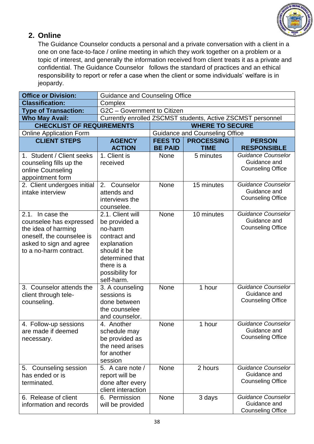

#### **2. Online**

The Guidance Counselor conducts a personal and a private conversation with a client in a one on one face-to-face / online meeting in which they work together on a problem or a topic of interest, and generally the information received from client treats it as a private and confidential. The Guidance Counselor follows the standard of practices and an ethical responsibility to report or refer a case when the client or some individuals' welfare is in jeopardy.

| <b>Office or Division:</b>                      | <b>Guidance and Counseling Office</b>  |                                                             |                                       |                                          |  |
|-------------------------------------------------|----------------------------------------|-------------------------------------------------------------|---------------------------------------|------------------------------------------|--|
| <b>Classification:</b>                          | Complex                                |                                                             |                                       |                                          |  |
| <b>Type of Transaction:</b>                     | G2C - Government to Citizen            |                                                             |                                       |                                          |  |
| <b>Who May Avail:</b>                           |                                        | Currently enrolled ZSCMST students, Active ZSCMST personnel |                                       |                                          |  |
| <b>CHECKLIST OF REQUIREMENTS</b>                |                                        |                                                             | <b>WHERE TO SECURE</b>                |                                          |  |
| <b>Online Application Form</b>                  |                                        |                                                             | <b>Guidance and Counseling Office</b> |                                          |  |
| <b>CLIENT STEPS</b>                             | <b>AGENCY</b>                          | <b>FEES TO</b>                                              | <b>PROCESSING</b>                     | <b>PERSON</b>                            |  |
|                                                 | <b>ACTION</b>                          | <b>BE PAID</b>                                              | <b>TIME</b>                           | <b>RESPONSIBLE</b>                       |  |
| 1. Student / Client seeks                       | 1. Client is                           | <b>None</b>                                                 | 5 minutes                             | <b>Guidance Counselor</b>                |  |
| counseling fills up the                         | received                               |                                                             |                                       | Guidance and<br><b>Counseling Office</b> |  |
| online Counseling                               |                                        |                                                             |                                       |                                          |  |
| appointment form<br>2. Client undergoes initial | Counselor<br>2.                        | None                                                        | 15 minutes                            | <b>Guidance Counselor</b>                |  |
| intake interview                                | attends and                            |                                                             |                                       | Guidance and                             |  |
|                                                 | interviews the                         |                                                             |                                       | <b>Counseling Office</b>                 |  |
|                                                 | counselee.                             |                                                             |                                       |                                          |  |
| 2.1. In case the                                | 2.1. Client will                       | None                                                        | 10 minutes                            | <b>Guidance Counselor</b>                |  |
| counselee has expressed                         | be provided a                          |                                                             |                                       | Guidance and                             |  |
| the idea of harming                             | no-harm                                |                                                             |                                       | <b>Counseling Office</b>                 |  |
| oneself, the counselee is                       | contract and                           |                                                             |                                       |                                          |  |
| asked to sign and agree                         | explanation                            |                                                             |                                       |                                          |  |
| to a no-harm contract.                          | should it be                           |                                                             |                                       |                                          |  |
|                                                 | determined that                        |                                                             |                                       |                                          |  |
|                                                 | there is a                             |                                                             |                                       |                                          |  |
|                                                 | possibility for<br>self-harm.          |                                                             |                                       |                                          |  |
| 3. Counselor attends the                        | 3. A counseling                        | <b>None</b>                                                 | 1 hour                                | <b>Guidance Counselor</b>                |  |
| client through tele-                            | sessions is                            |                                                             |                                       | Guidance and                             |  |
| counseling.                                     | done between                           |                                                             |                                       | <b>Counseling Office</b>                 |  |
|                                                 | the counselee                          |                                                             |                                       |                                          |  |
|                                                 | and counselor.                         |                                                             |                                       |                                          |  |
| 4. Follow-up sessions                           | 4. Another                             | <b>None</b>                                                 | 1 hour                                | <b>Guidance Counselor</b>                |  |
| are made if deemed                              | schedule may                           |                                                             |                                       | Guidance and                             |  |
| necessary.                                      | be provided as                         |                                                             |                                       | <b>Counseling Office</b>                 |  |
|                                                 | the need arises                        |                                                             |                                       |                                          |  |
|                                                 | for another                            |                                                             |                                       |                                          |  |
|                                                 | session                                |                                                             |                                       |                                          |  |
| 5. Counseling session                           | 5. A care note /                       | <b>None</b>                                                 | 2 hours                               | Guidance Counselor<br>Guidance and       |  |
| has ended or is<br>terminated.                  | report will be                         |                                                             |                                       | <b>Counseling Office</b>                 |  |
|                                                 | done after every<br>client interaction |                                                             |                                       |                                          |  |
| 6. Release of client                            | 6. Permission                          | <b>None</b>                                                 | 3 days                                | <b>Guidance Counselor</b>                |  |
| information and records                         | will be provided                       |                                                             |                                       | Guidance and                             |  |
|                                                 |                                        |                                                             |                                       | <b>Counseling Office</b>                 |  |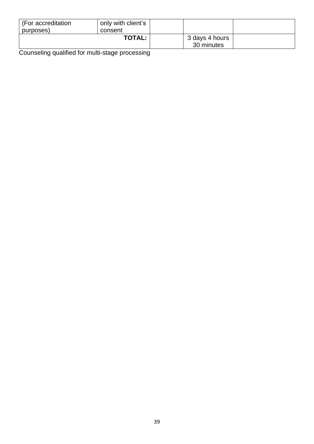| (For accreditation<br>purposes) | only with client's<br>consent |                              |  |
|---------------------------------|-------------------------------|------------------------------|--|
| <b>TOTAL:</b>                   |                               | 3 days 4 hours<br>30 minutes |  |

Counseling qualified for multi-stage processing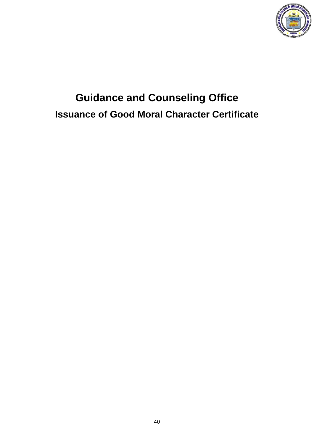

## **Guidance and Counseling Office Issuance of Good Moral Character Certificate**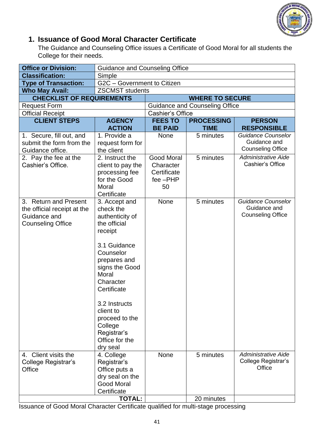

#### **1. Issuance of Good Moral Character Certificate**

The Guidance and Counseling Office issues a Certificate of Good Moral for all students the College for their needs.

| <b>Office or Division:</b>                                                                       | <b>Guidance and Counseling Office</b>                                                                                                                                                                                                                                    |                                                                      |                                       |                                                                       |
|--------------------------------------------------------------------------------------------------|--------------------------------------------------------------------------------------------------------------------------------------------------------------------------------------------------------------------------------------------------------------------------|----------------------------------------------------------------------|---------------------------------------|-----------------------------------------------------------------------|
| <b>Classification:</b>                                                                           | Simple                                                                                                                                                                                                                                                                   |                                                                      |                                       |                                                                       |
| <b>Type of Transaction:</b>                                                                      | G2C - Government to Citizen                                                                                                                                                                                                                                              |                                                                      |                                       |                                                                       |
| <b>Who May Avail:</b>                                                                            | <b>ZSCMST</b> students                                                                                                                                                                                                                                                   |                                                                      |                                       |                                                                       |
| <b>CHECKLIST OF REQUIREMENTS</b>                                                                 |                                                                                                                                                                                                                                                                          |                                                                      | <b>WHERE TO SECURE</b>                |                                                                       |
| <b>Request Form</b>                                                                              |                                                                                                                                                                                                                                                                          |                                                                      | <b>Guidance and Counseling Office</b> |                                                                       |
| <b>Official Receipt</b>                                                                          |                                                                                                                                                                                                                                                                          | <b>Cashier's Office</b>                                              |                                       |                                                                       |
| <b>CLIENT STEPS</b>                                                                              | <b>AGENCY</b>                                                                                                                                                                                                                                                            | <b>FEES TO</b>                                                       | <b>PROCESSING</b>                     | <b>PERSON</b>                                                         |
|                                                                                                  | <b>ACTION</b>                                                                                                                                                                                                                                                            | <b>BE PAID</b>                                                       | <b>TIME</b>                           | <b>RESPONSIBLE</b>                                                    |
| 1. Secure, fill out, and<br>submit the form from the<br>Guidance office.                         | 1. Provide a<br>request form for<br>the client                                                                                                                                                                                                                           | <b>None</b>                                                          | 5 minutes                             | <b>Guidance Counselor</b><br>Guidance and<br><b>Counseling Office</b> |
| 2. Pay the fee at the<br>Cashier's Office.                                                       | 2. Instruct the<br>client to pay the<br>processing fee<br>for the Good<br>Moral<br>Certificate                                                                                                                                                                           | <b>Good Moral</b><br>Character<br>Certificate<br>$fee$ - $PHP$<br>50 | 5 minutes                             | Administrative Aide<br><b>Cashier's Office</b>                        |
| 3. Return and Present<br>the official receipt at the<br>Guidance and<br><b>Counseling Office</b> | 3. Accept and<br>check the<br>authenticity of<br>the official<br>receipt<br>3.1 Guidance<br>Counselor<br>prepares and<br>signs the Good<br>Moral<br>Character<br>Certificate<br>3.2 Instructs<br>client to<br>proceed to the<br>College<br>Registrar's<br>Office for the |                                                                      | 5 minutes                             | <b>Guidance Counselor</b><br>Guidance and<br><b>Counseling Office</b> |
| 4. Client visits the<br>College Registrar's<br>Office                                            | dry seal<br>4. College<br>Registrar's<br>Office puts a<br>dry seal on the<br><b>Good Moral</b><br>Certificate                                                                                                                                                            | None                                                                 | 5 minutes                             | <b>Administrative Aide</b><br>College Registrar's<br>Office           |
|                                                                                                  | <b>TOTAL:</b>                                                                                                                                                                                                                                                            |                                                                      | 20 minutes                            |                                                                       |

Issuance of Good Moral Character Certificate qualified for multi-stage processing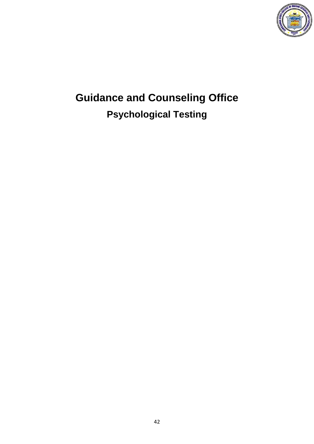

# **Guidance and Counseling Office Psychological Testing**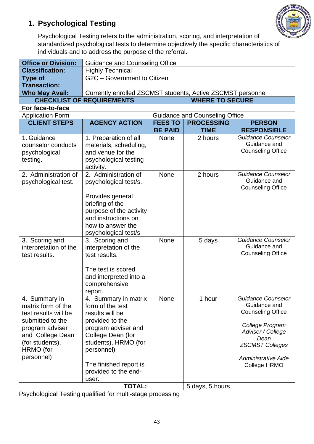

### **1. Psychological Testing**

Psychological Testing refers to the administration, scoring, and interpretation of standardized psychological tests to determine objectively the specific characteristics of individuals and to address the purpose of the referral.

| <b>Office or Division:</b>                                                                                                                                           | <b>Guidance and Counseling Office</b>                                                                                                                                                                                       |                |                                                            |                                                                                                                                                                                        |  |  |
|----------------------------------------------------------------------------------------------------------------------------------------------------------------------|-----------------------------------------------------------------------------------------------------------------------------------------------------------------------------------------------------------------------------|----------------|------------------------------------------------------------|----------------------------------------------------------------------------------------------------------------------------------------------------------------------------------------|--|--|
| <b>Classification:</b>                                                                                                                                               | <b>Highly Technical</b>                                                                                                                                                                                                     |                |                                                            |                                                                                                                                                                                        |  |  |
| <b>Type of</b>                                                                                                                                                       | G2C - Government to Citizen                                                                                                                                                                                                 |                |                                                            |                                                                                                                                                                                        |  |  |
| <b>Transaction:</b>                                                                                                                                                  |                                                                                                                                                                                                                             |                |                                                            |                                                                                                                                                                                        |  |  |
| <b>Who May Avail:</b>                                                                                                                                                | Currently enrolled ZSCMST students, Active ZSCMST personnel                                                                                                                                                                 |                |                                                            |                                                                                                                                                                                        |  |  |
|                                                                                                                                                                      | <b>CHECKLIST OF REQUIREMENTS</b>                                                                                                                                                                                            |                | <b>WHERE TO SECURE</b>                                     |                                                                                                                                                                                        |  |  |
| For face-to-face                                                                                                                                                     |                                                                                                                                                                                                                             |                |                                                            |                                                                                                                                                                                        |  |  |
| <b>Application Form</b><br><b>CLIENT STEPS</b>                                                                                                                       | <b>AGENCY ACTION</b>                                                                                                                                                                                                        | <b>FEES TO</b> | <b>Guidance and Counseling Office</b><br><b>PROCESSING</b> |                                                                                                                                                                                        |  |  |
|                                                                                                                                                                      |                                                                                                                                                                                                                             | <b>BE PAID</b> | <b>TIME</b>                                                | <b>PERSON</b><br><b>RESPONSIBLE</b>                                                                                                                                                    |  |  |
| 1. Guidance<br>counselor conducts<br>psychological<br>testing.                                                                                                       | 1. Preparation of all<br>materials, scheduling,<br>and venue for the<br>psychological testing<br>activity.                                                                                                                  | <b>None</b>    | 2 hours                                                    | <b>Guidance Counselor</b><br>Guidance and<br><b>Counseling Office</b>                                                                                                                  |  |  |
| 2. Administration of<br>psychological test.                                                                                                                          | 2. Administration of<br>psychological test/s.<br>Provides general<br>briefing of the<br>purpose of the activity<br>and instructions on<br>how to answer the<br>psychological test/s                                         | <b>None</b>    | 2 hours                                                    | <b>Guidance Counselor</b><br>Guidance and<br><b>Counseling Office</b>                                                                                                                  |  |  |
| 3. Scoring and<br>interpretation of the<br>test results.                                                                                                             | 3. Scoring and<br>interpretation of the<br>test results.<br>The test is scored<br>and interpreted into a<br>comprehensive<br>report.                                                                                        | None           | 5 days                                                     | <b>Guidance Counselor</b><br>Guidance and<br><b>Counseling Office</b>                                                                                                                  |  |  |
| 4. Summary in<br>matrix form of the<br>test results will be<br>submitted to the<br>program adviser<br>and College Dean<br>(for students),<br>HRMO (for<br>personnel) | 4. Summary in matrix<br>form of the test<br>results will be<br>provided to the<br>program adviser and<br>College Dean (for<br>students), HRMO (for<br>personnel)<br>The finished report is<br>provided to the end-<br>user. | <b>None</b>    | 1 hour                                                     | Guidance Counselor<br>Guidance and<br><b>Counseling Office</b><br>College Program<br>Adviser / College<br>Dean<br><b>ZSCMST Colleges</b><br><b>Administrative Aide</b><br>College HRMO |  |  |
|                                                                                                                                                                      | <b>TOTAL:</b>                                                                                                                                                                                                               |                | 5 days, 5 hours                                            |                                                                                                                                                                                        |  |  |

Psychological Testing qualified for multi-stage processing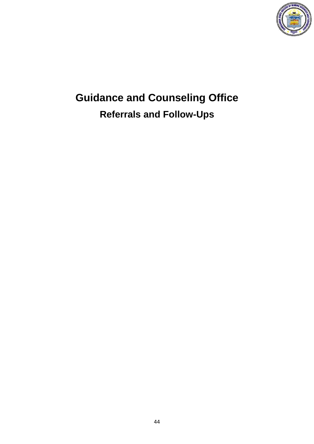

# **Guidance and Counseling Office Referrals and Follow-Ups**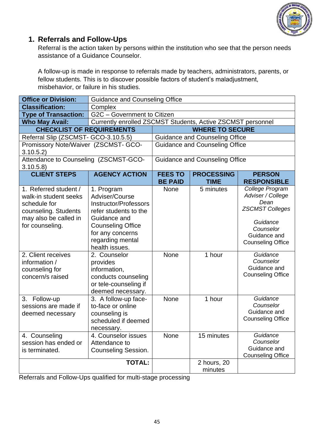

#### **1. Referrals and Follow-Ups**

Referral is the action taken by persons within the institution who see that the person needs assistance of a Guidance Counselor.

A follow-up is made in response to referrals made by teachers, administrators, parents, or fellow students. This is to discover possible factors of student's maladjustment, misbehavior, or failure in his studies.

| <b>Office or Division:</b>                                                                                                         | <b>Guidance and Counseling Office</b>                                                                                                                                                       |                |                                       |                                                                                                                                             |
|------------------------------------------------------------------------------------------------------------------------------------|---------------------------------------------------------------------------------------------------------------------------------------------------------------------------------------------|----------------|---------------------------------------|---------------------------------------------------------------------------------------------------------------------------------------------|
| <b>Classification:</b>                                                                                                             | Complex                                                                                                                                                                                     |                |                                       |                                                                                                                                             |
| <b>Type of Transaction:</b>                                                                                                        | G2C - Government to Citizen                                                                                                                                                                 |                |                                       |                                                                                                                                             |
| <b>Who May Avail:</b>                                                                                                              | Currently enrolled ZSCMST Students, Active ZSCMST personnel                                                                                                                                 |                |                                       |                                                                                                                                             |
| <b>CHECKLIST OF REQUIREMENTS</b>                                                                                                   |                                                                                                                                                                                             |                | <b>WHERE TO SECURE</b>                |                                                                                                                                             |
| Referral Slip (ZSCMST- GCO-3.10.5.5)                                                                                               |                                                                                                                                                                                             |                | <b>Guidance and Counseling Office</b> |                                                                                                                                             |
| Promissory Note/Waiver (ZSCMST- GCO-<br>3.10.5.2)                                                                                  |                                                                                                                                                                                             |                | <b>Guidance and Counseling Office</b> |                                                                                                                                             |
| Attendance to Counseling (ZSCMST-GCO-<br>3.10.5.8)                                                                                 |                                                                                                                                                                                             |                | <b>Guidance and Counseling Office</b> |                                                                                                                                             |
| <b>CLIENT STEPS</b>                                                                                                                | <b>AGENCY ACTION</b>                                                                                                                                                                        | <b>FEES TO</b> | <b>PROCESSING</b>                     | <b>PERSON</b>                                                                                                                               |
|                                                                                                                                    |                                                                                                                                                                                             | <b>BE PAID</b> | <b>TIME</b>                           | <b>RESPONSIBLE</b>                                                                                                                          |
| 1. Referred student /<br>walk-in student seeks<br>schedule for<br>counseling. Students<br>may also be called in<br>for counseling. | 1. Program<br>Adviser/Course<br><b>Instructor/Professors</b><br>refer students to the<br>Guidance and<br><b>Counseling Office</b><br>for any concerns<br>regarding mental<br>health issues. | <b>None</b>    | 5 minutes                             | College Program<br>Adviser / College<br>Dean<br><b>ZSCMST Colleges</b><br>Guidance<br>Counselor<br>Guidance and<br><b>Counseling Office</b> |
| 2. Client receives<br>information /<br>counseling for<br>concern/s raised                                                          | 2. Counselor<br>provides<br>information,<br>conducts counseling<br>or tele-counseling if<br>deemed necessary.                                                                               | <b>None</b>    | 1 hour                                | Guidance<br>Counselor<br>Guidance and<br><b>Counseling Office</b>                                                                           |
| 3.<br>Follow-up<br>sessions are made if<br>deemed necessary                                                                        | 3. A follow-up face-<br>to-face or online<br>counseling is<br>scheduled if deemed<br>necessary.                                                                                             | None           | 1 hour                                | Guidance<br>Counselor<br>Guidance and<br><b>Counseling Office</b>                                                                           |
| 4. Counseling<br>session has ended or<br>is terminated.                                                                            | 4. Counselor issues<br>Attendance to<br><b>Counseling Session.</b>                                                                                                                          | None           | 15 minutes                            | Guidance<br>Counselor<br>Guidance and<br><b>Counseling Office</b>                                                                           |
|                                                                                                                                    | <b>TOTAL:</b>                                                                                                                                                                               |                | 2 hours, 20<br>minutes                |                                                                                                                                             |

Referrals and Follow-Ups qualified for multi-stage processing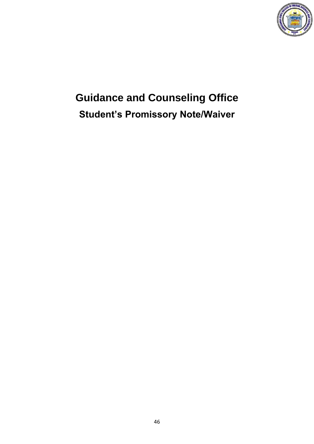

# **Guidance and Counseling Office Student's Promissory Note/Waiver**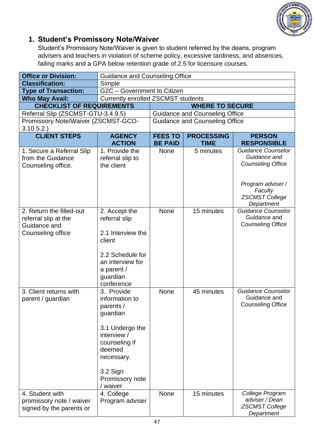

#### **1. Student's Promissory Note/Waiver**

Student's Promissory Note/Waiver is given to student referred by the deans, program advisers and teachers in violation of scheme policy, excessive tardiness, and absences, failing marks and a GPA below retention grade of 2.5 for licensure courses.

| <b>Office or Division:</b>                                                            | <b>Guidance and Counseling Office</b>                                                                                                                                       |                                  |                                       |                                                                                                                                              |  |
|---------------------------------------------------------------------------------------|-----------------------------------------------------------------------------------------------------------------------------------------------------------------------------|----------------------------------|---------------------------------------|----------------------------------------------------------------------------------------------------------------------------------------------|--|
| <b>Classification:</b>                                                                | Simple                                                                                                                                                                      |                                  |                                       |                                                                                                                                              |  |
| <b>Type of Transaction:</b>                                                           | G2C - Government to Citizen                                                                                                                                                 |                                  |                                       |                                                                                                                                              |  |
| <b>Who May Avail:</b>                                                                 | <b>Currently enrolled ZSCMST students</b>                                                                                                                                   |                                  |                                       |                                                                                                                                              |  |
| <b>CHECKLIST OF REQUIREMENTS</b>                                                      |                                                                                                                                                                             |                                  | <b>WHERE TO SECURE</b>                |                                                                                                                                              |  |
| Referral Slip (ZSCMST-GTU-3.4.9.5)                                                    |                                                                                                                                                                             |                                  | <b>Guidance and Counseling Office</b> |                                                                                                                                              |  |
| Promissory Note/Waiver (ZSCMST-GCO-<br>3.10.5.2.                                      |                                                                                                                                                                             |                                  | <b>Guidance and Counseling Office</b> |                                                                                                                                              |  |
| <b>CLIENT STEPS</b>                                                                   | <b>AGENCY</b><br><b>ACTION</b>                                                                                                                                              | <b>FEES TO</b><br><b>BE PAID</b> | <b>PROCESSING</b><br><b>TIME</b>      | <b>PERSON</b><br><b>RESPONSIBLE</b>                                                                                                          |  |
| 1. Secure a Referral Slip<br>from the Guidance<br>Counseling office.                  | 1. Provide the<br>referral slip to<br>the client                                                                                                                            | <b>None</b>                      | 5 minutes                             | <b>Guidance Counselor</b><br>Guidance and<br><b>Counseling Office</b><br>Program adviser /<br>Faculty<br><b>ZSCMST College</b><br>Department |  |
| 2. Return the filled-out<br>referral slip at the<br>Guidance and<br>Counseling office | 2. Accept the<br>referral slip<br>2.1 Interview the<br>client<br>2.2 Schedule for<br>an interview for<br>a parent /<br>guardian<br>conference                               | <b>None</b>                      | 15 minutes                            | <b>Guidance Counselor</b><br>Guidance and<br><b>Counseling Office</b>                                                                        |  |
| 3. Client returns with<br>parent / guardian                                           | 3. Provide<br>information to<br>parents /<br>guardian<br>3.1 Undergo the<br>interview /<br>counseling if<br>deemed<br>necessary.<br>3.2 Sign<br>Promissory note<br>/ waiver | None                             | 45 minutes                            | <b>Guidance Counselor</b><br>Guidance and<br><b>Counseling Office</b>                                                                        |  |
| 4. Student with<br>promissory note / waiver<br>signed by the parents or               | 4. College<br>Program adviser                                                                                                                                               | None                             | 15 minutes                            | College Program<br>adviser / Dean<br><b>ZSCMST College</b><br>Department                                                                     |  |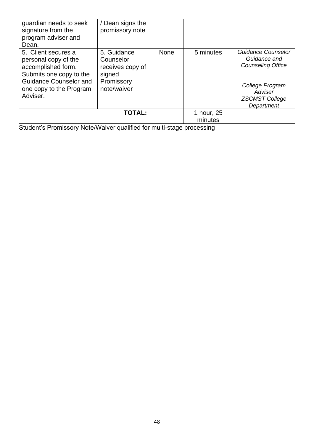| guardian needs to seek<br>signature from the<br>program adviser and<br>Dean.                                                                                         | / Dean signs the<br>promissory note                                                 |      |                       |                                                                                                                                     |
|----------------------------------------------------------------------------------------------------------------------------------------------------------------------|-------------------------------------------------------------------------------------|------|-----------------------|-------------------------------------------------------------------------------------------------------------------------------------|
| 5. Client secures a<br>personal copy of the<br>accomplished form.<br>Submits one copy to the<br><b>Guidance Counselor and</b><br>one copy to the Program<br>Adviser. | 5. Guidance<br>Counselor<br>receives copy of<br>signed<br>Promissory<br>note/waiver | None | 5 minutes             | Guidance Counselor<br>Guidance and<br><b>Counseling Office</b><br>College Program<br>Adviser<br><b>ZSCMST College</b><br>Department |
|                                                                                                                                                                      | <b>TOTAL:</b>                                                                       |      | 1 hour, 25<br>minutes |                                                                                                                                     |

Student's Promissory Note/Waiver qualified for multi-stage processing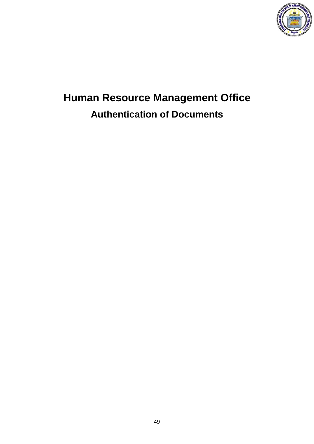

# **Human Resource Management Office Authentication of Documents**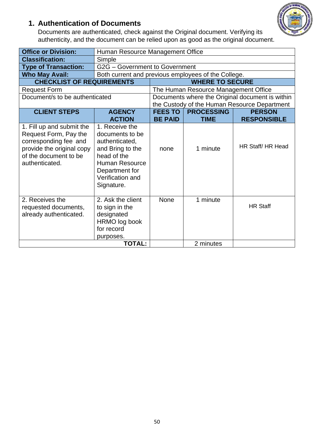### **1. Authentication of Documents**



Documents are authenticated, check against the Original document. Verifying its authenticity, and the document can be relied upon as good as the original document.

| <b>Office or Division:</b>                                                                                                                          | Human Resource Management Office                                                                                                                                    |                                  |                                      |                                                                                                 |
|-----------------------------------------------------------------------------------------------------------------------------------------------------|---------------------------------------------------------------------------------------------------------------------------------------------------------------------|----------------------------------|--------------------------------------|-------------------------------------------------------------------------------------------------|
| <b>Classification:</b>                                                                                                                              | Simple                                                                                                                                                              |                                  |                                      |                                                                                                 |
| <b>Type of Transaction:</b>                                                                                                                         | G2G - Government to Government                                                                                                                                      |                                  |                                      |                                                                                                 |
| <b>Who May Avail:</b>                                                                                                                               | Both current and previous employees of the College.                                                                                                                 |                                  |                                      |                                                                                                 |
| <b>CHECKLIST OF REQUIREMENTS</b>                                                                                                                    |                                                                                                                                                                     |                                  | <b>WHERE TO SECURE</b>               |                                                                                                 |
| <b>Request Form</b>                                                                                                                                 |                                                                                                                                                                     |                                  | The Human Resource Management Office |                                                                                                 |
| Document/s to be authenticated                                                                                                                      |                                                                                                                                                                     |                                  |                                      | Documents where the Original document is within<br>the Custody of the Human Resource Department |
| <b>CLIENT STEPS</b>                                                                                                                                 | <b>AGENCY</b><br><b>ACTION</b>                                                                                                                                      | <b>FEES TO</b><br><b>BE PAID</b> | <b>PROCESSING</b><br><b>TIME</b>     | <b>PERSON</b><br><b>RESPONSIBLE</b>                                                             |
| 1. Fill up and submit the<br>Request Form, Pay the<br>corresponding fee and<br>provide the original copy<br>of the document to be<br>authenticated. | 1. Receive the<br>documents to be<br>authenticated,<br>and Bring to the<br>head of the<br><b>Human Resource</b><br>Department for<br>Verification and<br>Signature. | none                             | 1 minute                             | HR Staff/HR Head                                                                                |
| 2. Receives the<br>requested documents,<br>already authenticated.                                                                                   | 2. Ask the client<br>to sign in the<br>designated<br>HRMO log book<br>for record<br>purposes.<br><b>TOTAL:</b>                                                      | <b>None</b>                      | 1 minute                             | <b>HR Staff</b>                                                                                 |
|                                                                                                                                                     |                                                                                                                                                                     | 2 minutes                        |                                      |                                                                                                 |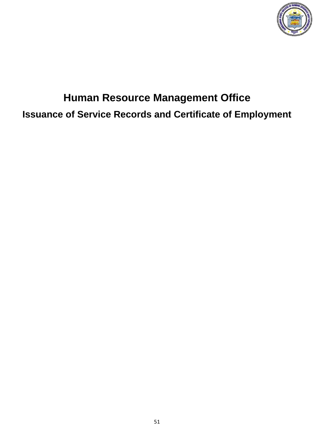

# **Human Resource Management Office Issuance of Service Records and Certificate of Employment**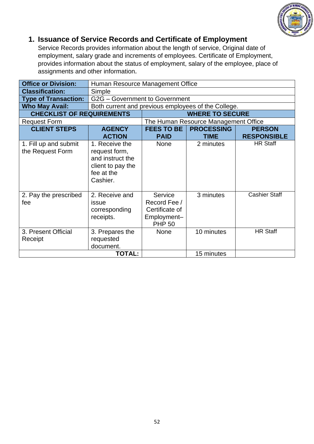

#### **1. Issuance of Service Records and Certificate of Employment**

Service Records provides information about the length of service, Original date of employment, salary grade and increments of employees. Certificate of Employment, provides information about the status of employment, salary of the employee, place of assignments and other information**.**

| <b>Office or Division:</b>                | Human Resource Management Office                                                                   |                                                                           |                                      |                      |  |  |
|-------------------------------------------|----------------------------------------------------------------------------------------------------|---------------------------------------------------------------------------|--------------------------------------|----------------------|--|--|
| <b>Classification:</b>                    | Simple                                                                                             |                                                                           |                                      |                      |  |  |
| <b>Type of Transaction:</b>               |                                                                                                    | G2G - Government to Government                                            |                                      |                      |  |  |
| <b>Who May Avail:</b>                     | Both current and previous employees of the College.                                                |                                                                           |                                      |                      |  |  |
| <b>CHECKLIST OF REQUIREMENTS</b>          |                                                                                                    |                                                                           | <b>WHERE TO SECURE</b>               |                      |  |  |
| <b>Request Form</b>                       |                                                                                                    |                                                                           | The Human Resource Management Office |                      |  |  |
| <b>CLIENT STEPS</b>                       | <b>AGENCY</b><br><b>ACTION</b>                                                                     | <b>FEES TO BE</b><br><b>PROCESSING</b><br><b>PAID</b><br><b>TIME</b>      |                                      |                      |  |  |
| 1. Fill up and submit<br>the Request Form | 1. Receive the<br>request form,<br>and instruct the<br>client to pay the<br>fee at the<br>Cashier. | <b>None</b>                                                               | 2 minutes                            | <b>HR Staff</b>      |  |  |
| 2. Pay the prescribed<br>fee              | 2. Receive and<br>issue<br>corresponding<br>receipts.                                              | Service<br>Record Fee /<br>Certificate of<br>Employment-<br><b>PHP 50</b> | 3 minutes                            | <b>Cashier Staff</b> |  |  |
| 3. Present Official<br>Receipt            | 3. Prepares the<br>requested<br>document.                                                          | <b>None</b>                                                               | 10 minutes                           | <b>HR Staff</b>      |  |  |
| <b>TOTAL:</b><br>15 minutes               |                                                                                                    |                                                                           |                                      |                      |  |  |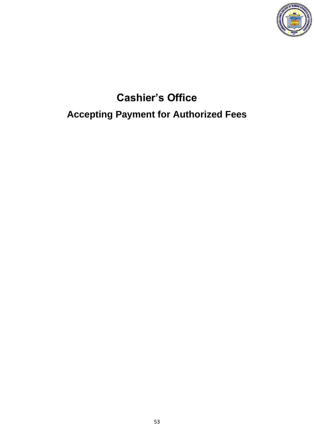

# **Cashier's Office Accepting Payment for Authorized Fees**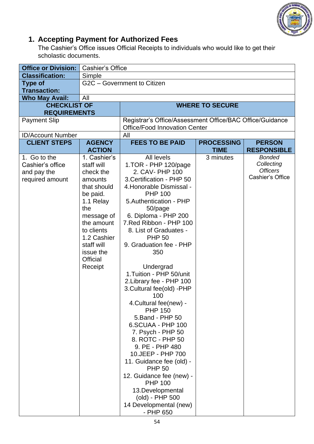

### **1. Accepting Payment for Authorized Fees**

The Cashier's Office issues Official Receipts to individuals who would like to get their scholastic documents.

| <b>Office or Division:</b>                                         | <b>Cashier's Office</b>                                                                                                                                                                                             |                                                                                                                                                                                                                                                                                                                                                                                                                                                                                                                                                                                                                                                                                                                                                                   |                                  |                                                                    |  |
|--------------------------------------------------------------------|---------------------------------------------------------------------------------------------------------------------------------------------------------------------------------------------------------------------|-------------------------------------------------------------------------------------------------------------------------------------------------------------------------------------------------------------------------------------------------------------------------------------------------------------------------------------------------------------------------------------------------------------------------------------------------------------------------------------------------------------------------------------------------------------------------------------------------------------------------------------------------------------------------------------------------------------------------------------------------------------------|----------------------------------|--------------------------------------------------------------------|--|
| <b>Classification:</b>                                             | Simple                                                                                                                                                                                                              |                                                                                                                                                                                                                                                                                                                                                                                                                                                                                                                                                                                                                                                                                                                                                                   |                                  |                                                                    |  |
| <b>Type of</b><br><b>Transaction:</b>                              | G2C - Government to Citizen                                                                                                                                                                                         |                                                                                                                                                                                                                                                                                                                                                                                                                                                                                                                                                                                                                                                                                                                                                                   |                                  |                                                                    |  |
| <b>Who May Avail:</b>                                              | All                                                                                                                                                                                                                 |                                                                                                                                                                                                                                                                                                                                                                                                                                                                                                                                                                                                                                                                                                                                                                   |                                  |                                                                    |  |
| <b>CHECKLIST OF</b><br><b>REQUIREMENTS</b>                         |                                                                                                                                                                                                                     |                                                                                                                                                                                                                                                                                                                                                                                                                                                                                                                                                                                                                                                                                                                                                                   | <b>WHERE TO SECURE</b>           |                                                                    |  |
| <b>Payment Slip</b>                                                |                                                                                                                                                                                                                     | Registrar's Office/Assessment Office/BAC Office/Guidance                                                                                                                                                                                                                                                                                                                                                                                                                                                                                                                                                                                                                                                                                                          |                                  |                                                                    |  |
|                                                                    |                                                                                                                                                                                                                     | <b>Office/Food Innovation Center</b>                                                                                                                                                                                                                                                                                                                                                                                                                                                                                                                                                                                                                                                                                                                              |                                  |                                                                    |  |
| <b>ID/Account Number</b>                                           |                                                                                                                                                                                                                     | All                                                                                                                                                                                                                                                                                                                                                                                                                                                                                                                                                                                                                                                                                                                                                               |                                  |                                                                    |  |
| <b>CLIENT STEPS</b>                                                | <b>AGENCY</b><br><b>ACTION</b>                                                                                                                                                                                      | <b>FEES TO BE PAID</b>                                                                                                                                                                                                                                                                                                                                                                                                                                                                                                                                                                                                                                                                                                                                            | <b>PROCESSING</b><br><b>TIME</b> | <b>PERSON</b><br><b>RESPONSIBLE</b>                                |  |
| 1. Go to the<br>Cashier's office<br>and pay the<br>required amount | 1. Cashier's<br>staff will<br>check the<br>amounts<br>that should<br>be paid.<br>1.1 Relay<br>the<br>message of<br>the amount<br>to clients<br>1.2 Cashier<br>staff will<br>issue the<br><b>Official</b><br>Receipt | All levels<br>1.TOR - PHP 120/page<br>2. CAV- PHP 100<br>3. Certification - PHP 50<br>4. Honorable Dismissal -<br><b>PHP 100</b><br>5. Authentication - PHP<br>50/page<br>6. Diploma - PHP 200<br>7. Red Ribbon - PHP 100<br>8. List of Graduates -<br><b>PHP 50</b><br>9. Graduation fee - PHP<br>350<br>Undergrad<br>1. Tuition - PHP 50/unit<br>2. Library fee - PHP 100<br>3. Cultural fee(old) - PHP<br>100<br>4. Cultural fee(new) -<br><b>PHP 150</b><br>5. Band - PHP 50<br>6.SCUAA - PHP 100<br>7. Psych - PHP 50<br>8. ROTC - PHP 50<br>9. PE - PHP 480<br>10. JEEP - PHP 700<br>11. Guidance fee (old) -<br><b>PHP 50</b><br>12. Guidance fee (new) -<br><b>PHP 100</b><br>13. Developmental<br>(old) - PHP 500<br>14 Developmental (new)<br>- PHP 650 | 3 minutes                        | <b>Bonded</b><br>Collecting<br><b>Officers</b><br>Cashier's Office |  |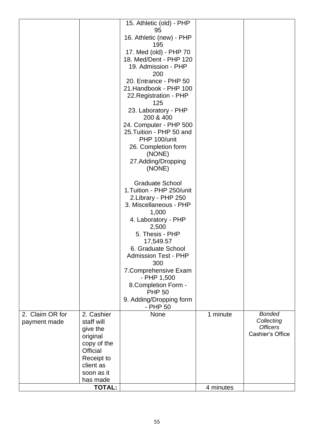|                 |                 | 15. Athletic (old) - PHP    |           |                  |
|-----------------|-----------------|-----------------------------|-----------|------------------|
|                 |                 | 95                          |           |                  |
|                 |                 | 16. Athletic (new) - PHP    |           |                  |
|                 |                 | 195                         |           |                  |
|                 |                 | 17. Med (old) - PHP 70      |           |                  |
|                 |                 | 18. Med/Dent - PHP 120      |           |                  |
|                 |                 | 19. Admission - PHP         |           |                  |
|                 |                 | 200                         |           |                  |
|                 |                 | 20. Entrance - PHP 50       |           |                  |
|                 |                 | 21.Handbook - PHP 100       |           |                  |
|                 |                 | 22. Registration - PHP      |           |                  |
|                 |                 | 125                         |           |                  |
|                 |                 | 23. Laboratory - PHP        |           |                  |
|                 |                 | 200 & 400                   |           |                  |
|                 |                 | 24. Computer - PHP 500      |           |                  |
|                 |                 | 25. Tuition - PHP 50 and    |           |                  |
|                 |                 | PHP 100/unit                |           |                  |
|                 |                 | 26. Completion form         |           |                  |
|                 |                 | (NONE)                      |           |                  |
|                 |                 | 27.Adding/Dropping          |           |                  |
|                 |                 | (NONE)                      |           |                  |
|                 |                 |                             |           |                  |
|                 |                 | <b>Graduate School</b>      |           |                  |
|                 |                 | 1. Tuition - PHP 250/unit   |           |                  |
|                 |                 | 2. Library - PHP 250        |           |                  |
|                 |                 | 3. Miscellaneous - PHP      |           |                  |
|                 |                 | 1,000                       |           |                  |
|                 |                 | 4. Laboratory - PHP         |           |                  |
|                 |                 | 2,500                       |           |                  |
|                 |                 | 5. Thesis - PHP             |           |                  |
|                 |                 | 17,549.57                   |           |                  |
|                 |                 | 6. Graduate School          |           |                  |
|                 |                 | <b>Admission Test - PHP</b> |           |                  |
|                 |                 | 300                         |           |                  |
|                 |                 | 7. Comprehensive Exam       |           |                  |
|                 |                 | - PHP 1,500                 |           |                  |
|                 |                 | 8. Completion Form -        |           |                  |
|                 |                 | <b>PHP 50</b>               |           |                  |
|                 |                 | 9. Adding/Dropping form     |           |                  |
|                 |                 | - PHP 50                    |           |                  |
| 2. Claim OR for | 2. Cashier      | None                        | 1 minute  | <b>Bonded</b>    |
| payment made    | staff will      |                             |           | Collecting       |
|                 | give the        |                             |           | <b>Officers</b>  |
|                 | original        |                             |           | Cashier's Office |
|                 | copy of the     |                             |           |                  |
|                 | <b>Official</b> |                             |           |                  |
|                 | Receipt to      |                             |           |                  |
|                 | client as       |                             |           |                  |
|                 | soon as it      |                             |           |                  |
|                 | has made        |                             |           |                  |
|                 | <b>TOTAL:</b>   |                             | 4 minutes |                  |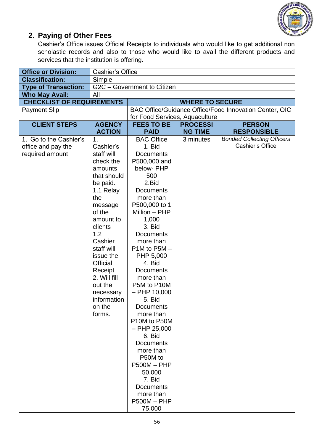

#### **2. Paying of Other Fees**

Cashier's Office issues Official Receipts to individuals who would like to get additional non scholastic records and also to those who would like to avail the different products and services that the institution is offering.

| <b>Office or Division:</b>       | <b>Cashier's Office</b>                         |                            |                 |                                                        |
|----------------------------------|-------------------------------------------------|----------------------------|-----------------|--------------------------------------------------------|
| <b>Classification:</b>           | Simple                                          |                            |                 |                                                        |
| <b>Type of Transaction:</b>      | G2C - Government to Citizen                     |                            |                 |                                                        |
| <b>Who May Avail:</b>            | All                                             |                            |                 |                                                        |
| <b>CHECKLIST OF REQUIREMENTS</b> | <b>WHERE TO SECURE</b>                          |                            |                 |                                                        |
| <b>Payment Slip</b>              |                                                 |                            |                 | BAC Office/Guidance Office/Food Innovation Center, OIC |
|                                  | for Food Services, Aquaculture                  |                            |                 |                                                        |
| <b>CLIENT STEPS</b>              | <b>AGENCY</b>                                   | <b>FEES TO BE</b>          | <b>PROCESSI</b> | <b>PERSON</b>                                          |
|                                  | <b>ACTION</b>                                   | <b>PAID</b>                | <b>NG TIME</b>  | <b>RESPONSIBLE</b>                                     |
| 1. Go to the Cashier's           | 1 <sub>1</sub>                                  | <b>BAC Office</b>          | 3 minutes       | <b>Bonded Collecting Officers</b>                      |
| office and pay the               | Cashier's                                       | 1. Bid                     |                 | Cashier's Office                                       |
| required amount                  | staff will                                      | <b>Documents</b>           |                 |                                                        |
|                                  | check the                                       | P500,000 and               |                 |                                                        |
|                                  | amounts                                         | below- PHP                 |                 |                                                        |
|                                  | that should                                     | 500                        |                 |                                                        |
|                                  | be paid.                                        | 2.Bid                      |                 |                                                        |
|                                  | 1.1 Relay                                       | <b>Documents</b>           |                 |                                                        |
|                                  | the                                             | more than<br>P500,000 to 1 |                 |                                                        |
|                                  | message<br>of the                               | Million - PHP              |                 |                                                        |
|                                  |                                                 |                            |                 |                                                        |
|                                  | 1,000<br>amount to<br>3. Bid<br>clients         |                            |                 |                                                        |
|                                  | 1.2<br><b>Documents</b><br>Cashier<br>more than |                            |                 |                                                        |
|                                  |                                                 |                            |                 |                                                        |
|                                  | staff will                                      | $P1M$ to $P5M -$           |                 |                                                        |
|                                  | issue the                                       | PHP 5,000                  |                 |                                                        |
|                                  | Official                                        | 4. Bid                     |                 |                                                        |
|                                  | Receipt                                         | <b>Documents</b>           |                 |                                                        |
|                                  | 2. Will fill                                    | more than                  |                 |                                                        |
|                                  | out the                                         | P5M to P10M                |                 |                                                        |
|                                  | necessary                                       | $-$ PHP 10,000             |                 |                                                        |
|                                  | information                                     | 5. Bid                     |                 |                                                        |
|                                  | on the                                          | <b>Documents</b>           |                 |                                                        |
|                                  | forms.                                          | more than                  |                 |                                                        |
|                                  |                                                 | P10M to P50M               |                 |                                                        |
|                                  |                                                 | $-$ PHP 25,000             |                 |                                                        |
|                                  |                                                 | 6. Bid                     |                 |                                                        |
|                                  |                                                 | <b>Documents</b>           |                 |                                                        |
|                                  |                                                 | more than                  |                 |                                                        |
|                                  |                                                 | P50M to                    |                 |                                                        |
|                                  |                                                 | $P500M - PHP$              |                 |                                                        |
|                                  |                                                 | 50,000                     |                 |                                                        |
|                                  |                                                 | 7. Bid                     |                 |                                                        |
|                                  |                                                 | <b>Documents</b>           |                 |                                                        |
|                                  |                                                 | more than                  |                 |                                                        |
|                                  |                                                 | $P500M - PHP$              |                 |                                                        |
|                                  |                                                 | 75,000                     |                 |                                                        |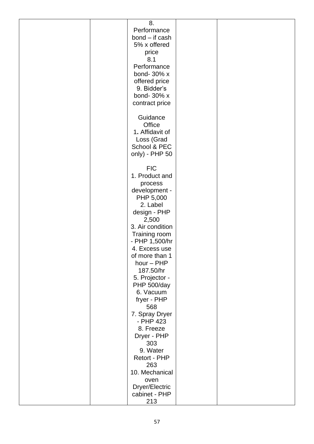|  | 8.               |  |
|--|------------------|--|
|  | Performance      |  |
|  | $bond - if cash$ |  |
|  | 5% x offered     |  |
|  | price            |  |
|  | 8.1              |  |
|  | Performance      |  |
|  | bond- 30% x      |  |
|  | offered price    |  |
|  | 9. Bidder's      |  |
|  | bond- 30% x      |  |
|  | contract price   |  |
|  |                  |  |
|  | Guidance         |  |
|  | Office           |  |
|  | 1. Affidavit of  |  |
|  | Loss (Grad       |  |
|  | School & PEC     |  |
|  | only) - PHP 50   |  |
|  |                  |  |
|  | <b>FIC</b>       |  |
|  | 1. Product and   |  |
|  | process          |  |
|  | development -    |  |
|  | PHP 5,000        |  |
|  | 2. Label         |  |
|  | design - PHP     |  |
|  | 2,500            |  |
|  | 3. Air condition |  |
|  | Training room    |  |
|  | - PHP 1,500/hr   |  |
|  | 4. Excess use    |  |
|  | of more than 1   |  |
|  | hour - PHP       |  |
|  | 187.50/hr        |  |
|  | 5. Projector -   |  |
|  | PHP 500/day      |  |
|  | 6. Vacuum        |  |
|  | fryer - PHP      |  |
|  | 568              |  |
|  | 7. Spray Dryer   |  |
|  | - PHP 423        |  |
|  | 8. Freeze        |  |
|  | Dryer - PHP      |  |
|  | 303              |  |
|  | 9. Water         |  |
|  | Retort - PHP     |  |
|  | 263              |  |
|  | 10. Mechanical   |  |
|  | oven             |  |
|  | Dryer/Electric   |  |
|  | cabinet - PHP    |  |
|  | 213              |  |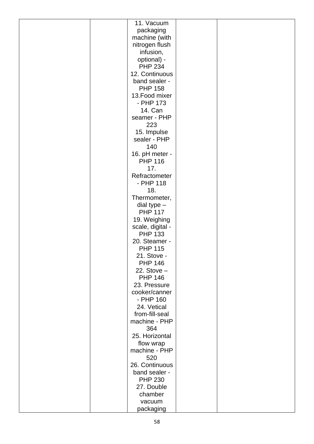|  | 11. Vacuum                      |  |
|--|---------------------------------|--|
|  | packaging                       |  |
|  | machine (with                   |  |
|  | nitrogen flush                  |  |
|  | infusion,                       |  |
|  | optional) -                     |  |
|  | <b>PHP 234</b>                  |  |
|  | 12. Continuous                  |  |
|  | band sealer -                   |  |
|  | <b>PHP 158</b>                  |  |
|  | 13. Food mixer                  |  |
|  | - PHP 173                       |  |
|  | 14. Can                         |  |
|  | seamer - PHP                    |  |
|  | 223                             |  |
|  | 15. Impulse                     |  |
|  | sealer - PHP                    |  |
|  | 140                             |  |
|  | 16. pH meter -                  |  |
|  | <b>PHP 116</b>                  |  |
|  | 17.                             |  |
|  | Refractometer                   |  |
|  | - PHP 118                       |  |
|  | 18.                             |  |
|  | Thermometer,                    |  |
|  | dial type $-$                   |  |
|  | <b>PHP 117</b>                  |  |
|  | 19. Weighing                    |  |
|  | scale, digital -                |  |
|  | <b>PHP 133</b><br>20. Steamer - |  |
|  | <b>PHP 115</b>                  |  |
|  | 21. Stove -                     |  |
|  | <b>PHP 146</b>                  |  |
|  | 22. Stove $-$                   |  |
|  | <b>PHP 146</b>                  |  |
|  | 23. Pressure                    |  |
|  | cooker/canner                   |  |
|  | - PHP 160                       |  |
|  | 24. Vetical                     |  |
|  | from-fill-seal                  |  |
|  | machine - PHP                   |  |
|  | 364                             |  |
|  | 25. Horizontal                  |  |
|  | flow wrap                       |  |
|  | machine - PHP                   |  |
|  | 520                             |  |
|  | 26. Continuous                  |  |
|  | band sealer -                   |  |
|  | <b>PHP 230</b>                  |  |
|  | 27. Double                      |  |
|  | chamber                         |  |
|  | vacuum                          |  |
|  | packaging                       |  |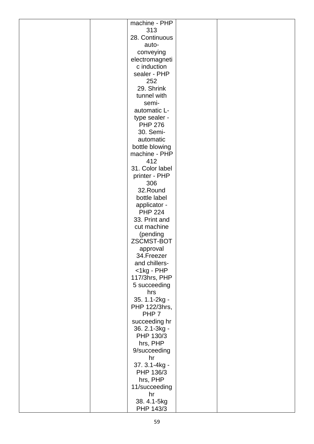|  | machine - PHP              |  |
|--|----------------------------|--|
|  | 313                        |  |
|  | 28. Continuous             |  |
|  | auto-                      |  |
|  | conveying                  |  |
|  | electromagneti             |  |
|  | c induction                |  |
|  | sealer - PHP               |  |
|  | 252                        |  |
|  | 29. Shrink                 |  |
|  | tunnel with                |  |
|  | semi-                      |  |
|  | automatic L-               |  |
|  |                            |  |
|  | type sealer -              |  |
|  | <b>PHP 276</b>             |  |
|  | 30. Semi-                  |  |
|  | automatic                  |  |
|  | bottle blowing             |  |
|  | machine - PHP              |  |
|  | 412                        |  |
|  | 31. Color label            |  |
|  | printer - PHP              |  |
|  | 306                        |  |
|  | 32.Round                   |  |
|  | bottle label               |  |
|  | applicator -               |  |
|  | <b>PHP 224</b>             |  |
|  | 33. Print and              |  |
|  | cut machine                |  |
|  | (pending                   |  |
|  | ZSCMST-BOT                 |  |
|  | approval                   |  |
|  | 34.Freezer                 |  |
|  | and chillers-              |  |
|  | $<$ 1 $kg$ - $PHP$         |  |
|  | 117/3hrs, PHP              |  |
|  | 5 succeeding               |  |
|  | hrs                        |  |
|  | 35. 1.1-2kg -              |  |
|  | PHP 122/3hrs,              |  |
|  | PHP <sub>7</sub>           |  |
|  | succeeding hr              |  |
|  |                            |  |
|  | 36. 2.1-3kg -<br>PHP 130/3 |  |
|  |                            |  |
|  | hrs, PHP                   |  |
|  | 9/succeeding               |  |
|  | hr                         |  |
|  | 37. 3.1-4kg -              |  |
|  | PHP 136/3                  |  |
|  | hrs, PHP                   |  |
|  | 11/succeeding              |  |
|  | hr                         |  |
|  | 38.4.1-5kg                 |  |
|  | PHP 143/3                  |  |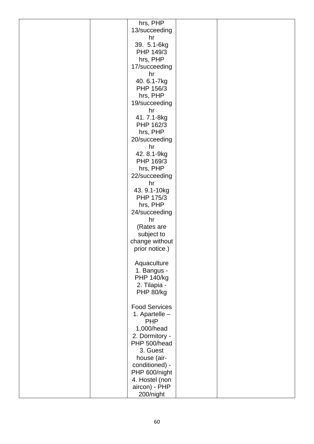| hrs, PHP             |  |
|----------------------|--|
| 13/succeeding        |  |
| hr                   |  |
| 39. 5.1-6kg          |  |
| PHP 149/3            |  |
| hrs, PHP             |  |
| 17/succeeding        |  |
| hr                   |  |
| 40.6.1-7kg           |  |
| PHP 156/3            |  |
| hrs, PHP             |  |
| 19/succeeding        |  |
| hr                   |  |
| 41.7.1-8kg           |  |
| PHP 162/3            |  |
| hrs, PHP             |  |
| 20/succeeding        |  |
| hr                   |  |
| 42.8.1-9kg           |  |
| PHP 169/3            |  |
| hrs, PHP             |  |
| 22/succeeding        |  |
| hr                   |  |
| 43.9.1-10kg          |  |
| PHP 175/3            |  |
| hrs, PHP             |  |
| 24/succeeding        |  |
| hr                   |  |
| (Rates are           |  |
| subject to           |  |
| change without       |  |
| prior notice.)       |  |
|                      |  |
| Aquaculture          |  |
| 1. Bangus -          |  |
| <b>PHP 140/kg</b>    |  |
| 2. Tilapia -         |  |
| PHP 80/kg            |  |
|                      |  |
| <b>Food Services</b> |  |
| 1. Apartelle -       |  |
| <b>PHP</b>           |  |
| 1,000/head           |  |
| 2. Dormitory -       |  |
| PHP 500/head         |  |
| 3. Guest             |  |
| house (air-          |  |
| conditioned) -       |  |
| PHP 600/night        |  |
| 4. Hostel (non       |  |
| aircon) - PHP        |  |
| 200/night            |  |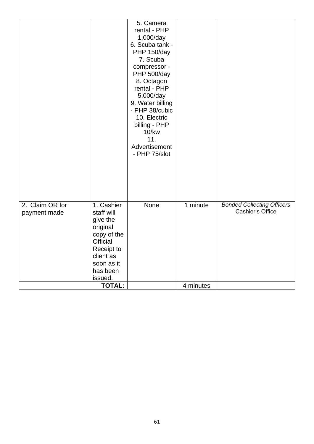|                 |               | 5. Camera                          |           |                                                       |
|-----------------|---------------|------------------------------------|-----------|-------------------------------------------------------|
|                 |               | rental - PHP                       |           |                                                       |
|                 |               | 1,000/day                          |           |                                                       |
|                 |               | 6. Scuba tank -                    |           |                                                       |
|                 |               | PHP 150/day                        |           |                                                       |
|                 |               | 7. Scuba                           |           |                                                       |
|                 |               | compressor -                       |           |                                                       |
|                 |               | PHP 500/day                        |           |                                                       |
|                 |               |                                    |           |                                                       |
|                 |               | 8. Octagon<br>rental - PHP         |           |                                                       |
|                 |               |                                    |           |                                                       |
|                 |               | 5,000/day                          |           |                                                       |
|                 |               | 9. Water billing<br>- PHP 38/cubic |           |                                                       |
|                 |               | 10. Electric                       |           |                                                       |
|                 |               | billing - PHP                      |           |                                                       |
|                 |               | 10/kw                              |           |                                                       |
|                 |               | 11.                                |           |                                                       |
|                 |               | Advertisement                      |           |                                                       |
|                 |               | - PHP 75/slot                      |           |                                                       |
|                 |               |                                    |           |                                                       |
|                 |               |                                    |           |                                                       |
|                 |               |                                    |           |                                                       |
|                 |               |                                    |           |                                                       |
|                 |               |                                    |           |                                                       |
|                 |               |                                    |           |                                                       |
| 2. Claim OR for | 1. Cashier    | None                               | 1 minute  |                                                       |
|                 |               |                                    |           | <b>Bonded Collecting Officers</b><br>Cashier's Office |
| payment made    | staff will    |                                    |           |                                                       |
|                 | give the      |                                    |           |                                                       |
|                 | original      |                                    |           |                                                       |
|                 | copy of the   |                                    |           |                                                       |
|                 | Official      |                                    |           |                                                       |
|                 | Receipt to    |                                    |           |                                                       |
|                 | client as     |                                    |           |                                                       |
|                 | soon as it    |                                    |           |                                                       |
|                 | has been      |                                    |           |                                                       |
|                 | issued.       |                                    |           |                                                       |
|                 | <b>TOTAL:</b> |                                    | 4 minutes |                                                       |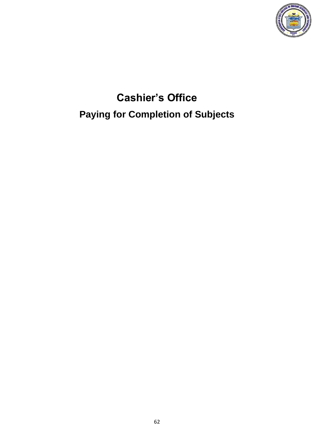

# **Cashier's Office Paying for Completion of Subjects**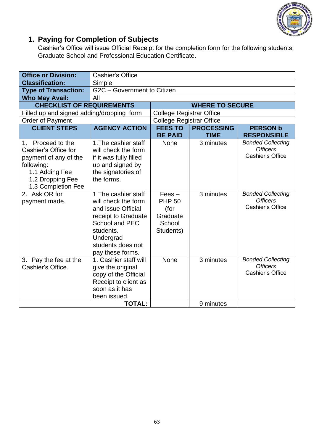

### **1. Paying for Completion of Subjects**

Cashier's Office will issue Official Receipt for the completion form for the following students: Graduate School and Professional Education Certificate.

| <b>Office or Division:</b>                                                                                                                   | <b>Cashier's Office</b>                                                                                                                                                             |                                                                      |                                  |                                                                 |  |
|----------------------------------------------------------------------------------------------------------------------------------------------|-------------------------------------------------------------------------------------------------------------------------------------------------------------------------------------|----------------------------------------------------------------------|----------------------------------|-----------------------------------------------------------------|--|
| <b>Classification:</b>                                                                                                                       | Simple                                                                                                                                                                              |                                                                      |                                  |                                                                 |  |
| <b>Type of Transaction:</b>                                                                                                                  | G2C - Government to Citizen                                                                                                                                                         |                                                                      |                                  |                                                                 |  |
| <b>Who May Avail:</b>                                                                                                                        | All                                                                                                                                                                                 |                                                                      |                                  |                                                                 |  |
| <b>CHECKLIST OF REQUIREMENTS</b>                                                                                                             |                                                                                                                                                                                     |                                                                      | <b>WHERE TO SECURE</b>           |                                                                 |  |
| Filled up and signed adding/dropping form                                                                                                    |                                                                                                                                                                                     | <b>College Registrar Office</b>                                      |                                  |                                                                 |  |
| <b>Order of Payment</b>                                                                                                                      |                                                                                                                                                                                     | <b>College Registrar Office</b>                                      |                                  |                                                                 |  |
| <b>CLIENT STEPS</b>                                                                                                                          | <b>AGENCY ACTION</b>                                                                                                                                                                | <b>FEES TO</b><br><b>BE PAID</b>                                     | <b>PROCESSING</b><br><b>TIME</b> | <b>PERSON b</b><br><b>RESPONSIBLE</b>                           |  |
| 1. Proceed to the<br>Cashier's Office for<br>payment of any of the<br>following:<br>1.1 Adding Fee<br>1.2 Dropping Fee<br>1.3 Completion Fee | 1. The cashier staff<br>will check the form<br>if it was fully filled<br>up and signed by<br>the signatories of<br>the forms.                                                       | <b>None</b>                                                          | 3 minutes                        | <b>Bonded Collecting</b><br><b>Officers</b><br>Cashier's Office |  |
| 2. Ask OR for<br>payment made.                                                                                                               | 1 The cashier staff<br>will check the form<br>and issue Official<br>receipt to Graduate<br><b>School and PEC</b><br>students.<br>Undergrad<br>students does not<br>pay these forms. | $Fees -$<br><b>PHP 50</b><br>(for<br>Graduate<br>School<br>Students) | 3 minutes                        | <b>Bonded Collecting</b><br><b>Officers</b><br>Cashier's Office |  |
| 3. Pay the fee at the<br>Cashier's Office.                                                                                                   | 1. Cashier staff will<br>give the original<br>copy of the Official<br>Receipt to client as<br>soon as it has<br>been issued.                                                        | None                                                                 | 3 minutes                        | <b>Bonded Collecting</b><br><b>Officers</b><br>Cashier's Office |  |
|                                                                                                                                              | <b>TOTAL:</b>                                                                                                                                                                       |                                                                      | 9 minutes                        |                                                                 |  |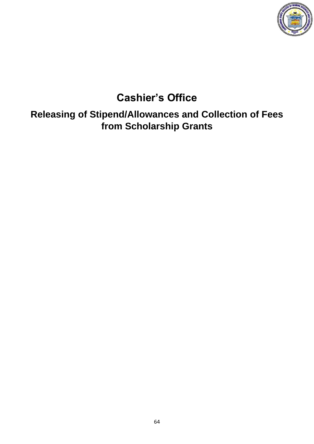

### **Cashier's Office**

**Releasing of Stipend/Allowances and Collection of Fees from Scholarship Grants**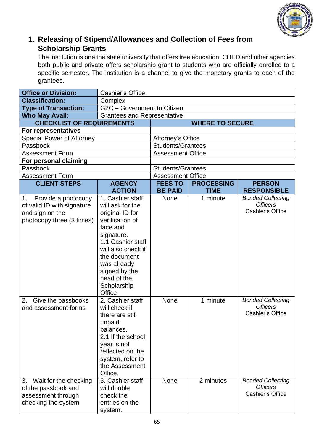

#### **1. Releasing of Stipend/Allowances and Collection of Fees from Scholarship Grants**

The institution is one the state university that offers free education. CHED and other agencies both public and private offers scholarship grant to students who are officially enrolled to a specific semester. The institution is a channel to give the monetary grants to each of the grantees.

| <b>Office or Division:</b>                                                                              | <b>Cashier's Office</b>                                                                                                                                                                                                                 |                            |                        |                                                                                             |
|---------------------------------------------------------------------------------------------------------|-----------------------------------------------------------------------------------------------------------------------------------------------------------------------------------------------------------------------------------------|----------------------------|------------------------|---------------------------------------------------------------------------------------------|
| <b>Classification:</b>                                                                                  | Complex                                                                                                                                                                                                                                 |                            |                        |                                                                                             |
| <b>Type of Transaction:</b>                                                                             | G2C - Government to Citizen                                                                                                                                                                                                             |                            |                        |                                                                                             |
| <b>Who May Avail:</b>                                                                                   | <b>Grantees and Representative</b>                                                                                                                                                                                                      |                            |                        |                                                                                             |
| <b>CHECKLIST OF REQUIREMENTS</b>                                                                        |                                                                                                                                                                                                                                         |                            | <b>WHERE TO SECURE</b> |                                                                                             |
| For representatives                                                                                     |                                                                                                                                                                                                                                         |                            |                        |                                                                                             |
| <b>Special Power of Attorney</b>                                                                        |                                                                                                                                                                                                                                         | Attorney's Office          |                        |                                                                                             |
| Passbook                                                                                                |                                                                                                                                                                                                                                         | <b>Students/Grantees</b>   |                        |                                                                                             |
| <b>Assessment Form</b>                                                                                  |                                                                                                                                                                                                                                         | <b>Assessment Office</b>   |                        |                                                                                             |
| For personal claiming                                                                                   |                                                                                                                                                                                                                                         |                            |                        |                                                                                             |
| Passbook                                                                                                |                                                                                                                                                                                                                                         | <b>Students/Grantees</b>   |                        |                                                                                             |
| <b>Assessment Form</b>                                                                                  |                                                                                                                                                                                                                                         | <b>Assessment Office</b>   |                        |                                                                                             |
| <b>CLIENT STEPS</b>                                                                                     | <b>AGENCY</b>                                                                                                                                                                                                                           | <b>FEES TO</b>             | <b>PROCESSING</b>      | <b>PERSON</b>                                                                               |
|                                                                                                         | <b>ACTION</b>                                                                                                                                                                                                                           | <b>BE PAID</b>             | <b>TIME</b>            | <b>RESPONSIBLE</b>                                                                          |
| Provide a photocopy<br>1.<br>of valid ID with signature<br>and sign on the<br>photocopy three (3 times) | 1. Cashier staff<br>will ask for the<br>original ID for<br>verification of<br>face and<br>signature.<br>1.1 Cashier staff<br>will also check if<br>the document<br>was already<br>signed by the<br>head of the<br>Scholarship<br>Office | <b>None</b>                | 1 minute               | <b>Bonded Collecting</b><br><b>Officers</b><br>Cashier's Office                             |
| Give the passbooks<br>2.<br>and assessment forms<br>3. Wait for the checking                            | 2. Cashier staff<br>will check if<br>there are still<br>unpaid<br>balances.<br>2.1 If the school<br>year is not<br>reflected on the<br>system, refer to<br>the Assessment<br>Office.<br>3. Cashier staff                                | <b>None</b><br><b>None</b> | 1 minute<br>2 minutes  | <b>Bonded Collecting</b><br><b>Officers</b><br>Cashier's Office<br><b>Bonded Collecting</b> |
| of the passbook and<br>assessment through<br>checking the system                                        | will double<br>check the<br>entries on the<br>system.                                                                                                                                                                                   |                            |                        | <b>Officers</b><br>Cashier's Office                                                         |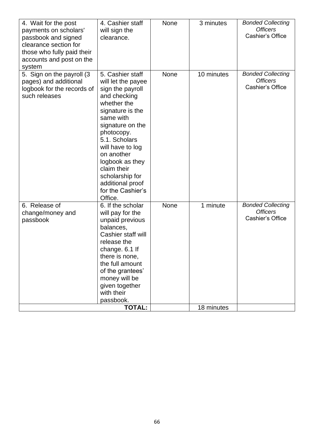| 4. Wait for the post<br>payments on scholars'<br>passbook and signed<br>clearance section for<br>those who fully paid their<br>accounts and post on the<br>system | 4. Cashier staff<br>will sign the<br>clearance.                                                                                                                                                                                                                                                                          | <b>None</b> | 3 minutes  | <b>Bonded Collecting</b><br><b>Officers</b><br>Cashier's Office |
|-------------------------------------------------------------------------------------------------------------------------------------------------------------------|--------------------------------------------------------------------------------------------------------------------------------------------------------------------------------------------------------------------------------------------------------------------------------------------------------------------------|-------------|------------|-----------------------------------------------------------------|
| 5. Sign on the payroll (3)<br>pages) and additional<br>logbook for the records of<br>such releases                                                                | 5. Cashier staff<br>will let the payee<br>sign the payroll<br>and checking<br>whether the<br>signature is the<br>same with<br>signature on the<br>photocopy.<br>5.1. Scholars<br>will have to log<br>on another<br>logbook as they<br>claim their<br>scholarship for<br>additional proof<br>for the Cashier's<br>Office. | None        | 10 minutes | <b>Bonded Collecting</b><br><b>Officers</b><br>Cashier's Office |
| 6. Release of<br>change/money and<br>passbook                                                                                                                     | 6. If the scholar<br>will pay for the<br>unpaid previous<br>balances,<br>Cashier staff will<br>release the<br>change. 6.1 If<br>there is none,<br>the full amount<br>of the grantees'<br>money will be<br>given together<br>with their<br>passbook.                                                                      | None        | 1 minute   | <b>Bonded Collecting</b><br><b>Officers</b><br>Cashier's Office |
|                                                                                                                                                                   | <b>TOTAL:</b>                                                                                                                                                                                                                                                                                                            |             | 18 minutes |                                                                 |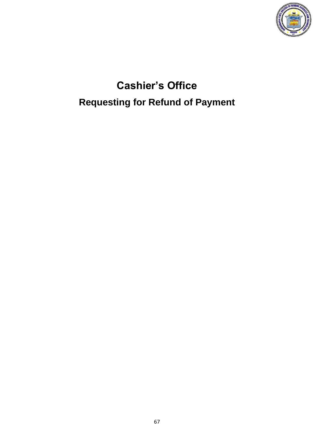

# **Cashier's Office Requesting for Refund of Payment**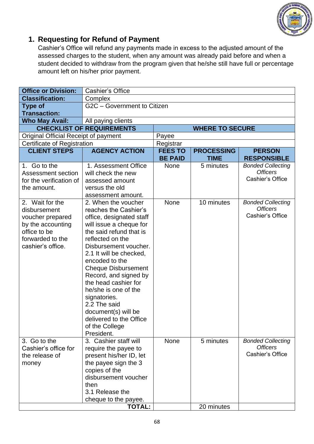

#### **1. Requesting for Refund of Payment**

Cashier's Office will refund any payments made in excess to the adjusted amount of the assessed charges to the student, when any amount was already paid before and when a student decided to withdraw from the program given that he/she still have full or percentage amount left on his/her prior payment.

| <b>Office or Division:</b>                                                                                      | <b>Cashier's Office</b>                                                                                                                                                                                                                                                                                                                                                                           |                                  |                                  |                                                                                                                |  |
|-----------------------------------------------------------------------------------------------------------------|---------------------------------------------------------------------------------------------------------------------------------------------------------------------------------------------------------------------------------------------------------------------------------------------------------------------------------------------------------------------------------------------------|----------------------------------|----------------------------------|----------------------------------------------------------------------------------------------------------------|--|
| <b>Classification:</b>                                                                                          | Complex                                                                                                                                                                                                                                                                                                                                                                                           |                                  |                                  |                                                                                                                |  |
| <b>Type of</b>                                                                                                  | G2C - Government to Citizen                                                                                                                                                                                                                                                                                                                                                                       |                                  |                                  |                                                                                                                |  |
| <b>Transaction:</b>                                                                                             |                                                                                                                                                                                                                                                                                                                                                                                                   |                                  |                                  |                                                                                                                |  |
| <b>Who May Avail:</b>                                                                                           | All paying clients                                                                                                                                                                                                                                                                                                                                                                                |                                  |                                  |                                                                                                                |  |
|                                                                                                                 | <b>CHECKLIST OF REQUIREMENTS</b>                                                                                                                                                                                                                                                                                                                                                                  |                                  | <b>WHERE TO SECURE</b>           |                                                                                                                |  |
| Original Official Receipt of payment                                                                            |                                                                                                                                                                                                                                                                                                                                                                                                   | Payee                            |                                  |                                                                                                                |  |
| Certificate of Registration                                                                                     |                                                                                                                                                                                                                                                                                                                                                                                                   | Registrar                        |                                  |                                                                                                                |  |
| <b>CLIENT STEPS</b>                                                                                             | <b>AGENCY ACTION</b>                                                                                                                                                                                                                                                                                                                                                                              | <b>FEES TO</b><br><b>BE PAID</b> | <b>PROCESSING</b><br><b>TIME</b> | <b>PERSON</b><br><b>RESPONSIBLE</b>                                                                            |  |
| 1. Go to the<br>Assessment section<br>for the verification of<br>the amount.<br>2. Wait for the<br>disbursement | 1. Assessment Office<br>will check the new<br>assessed amount<br>versus the old<br>assessment amount.<br>2. When the voucher<br>reaches the Cashier's                                                                                                                                                                                                                                             | <b>None</b><br><b>None</b>       | 5 minutes<br>10 minutes          | <b>Bonded Collecting</b><br><b>Officers</b><br>Cashier's Office<br><b>Bonded Collecting</b><br><b>Officers</b> |  |
| voucher prepared<br>by the accounting<br>office to be<br>forwarded to the<br>cashier's office.                  | office, designated staff<br>will issue a cheque for<br>the said refund that is<br>reflected on the<br>Disbursement voucher.<br>2.1 It will be checked,<br>encoded to the<br><b>Cheque Disbursement</b><br>Record, and signed by<br>the head cashier for<br>he/she is one of the<br>signatories.<br>2.2 The said<br>document(s) will be<br>delivered to the Office<br>of the College<br>President. |                                  |                                  | Cashier's Office                                                                                               |  |
| 3. Go to the<br>Cashier's office for<br>the release of<br>money                                                 | 3. Cashier staff will<br>require the payee to<br>present his/her ID, let<br>the payee sign the 3<br>copies of the<br>disbursement voucher<br>then<br>3.1 Release the<br>cheque to the payee.                                                                                                                                                                                                      | <b>None</b>                      | 5 minutes                        | <b>Bonded Collecting</b><br><b>Officers</b><br>Cashier's Office                                                |  |
|                                                                                                                 | <b>TOTAL:</b>                                                                                                                                                                                                                                                                                                                                                                                     |                                  | 20 minutes                       |                                                                                                                |  |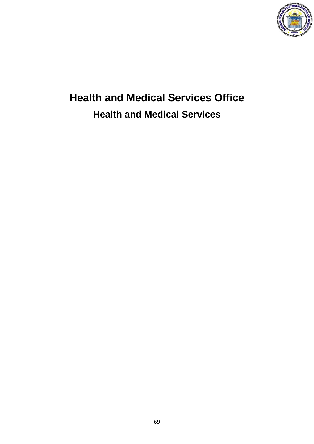

# **Health and Medical Services Office Health and Medical Services**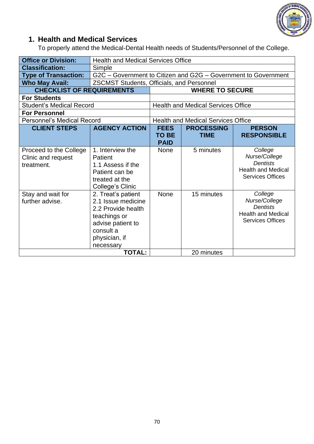

#### **1. Health and Medical Services**

To properly attend the Medical-Dental Health needs of Students/Personnel of the College.

| <b>Office or Division:</b>                                 | <b>Health and Medical Services Office</b>                                                                                                      |                                            |                                           |                                                                                                     |  |
|------------------------------------------------------------|------------------------------------------------------------------------------------------------------------------------------------------------|--------------------------------------------|-------------------------------------------|-----------------------------------------------------------------------------------------------------|--|
| <b>Classification:</b>                                     | Simple                                                                                                                                         |                                            |                                           |                                                                                                     |  |
| <b>Type of Transaction:</b>                                | G2C - Government to Citizen and G2G - Government to Government                                                                                 |                                            |                                           |                                                                                                     |  |
| <b>Who May Avail:</b>                                      | <b>ZSCMST Students, Officials, and Personnel</b>                                                                                               |                                            |                                           |                                                                                                     |  |
| <b>CHECKLIST OF REQUIREMENTS</b>                           |                                                                                                                                                |                                            | <b>WHERE TO SECURE</b>                    |                                                                                                     |  |
| <b>For Students</b>                                        |                                                                                                                                                |                                            |                                           |                                                                                                     |  |
| <b>Student's Medical Record</b>                            |                                                                                                                                                |                                            | <b>Health and Medical Services Office</b> |                                                                                                     |  |
| <b>For Personnel</b>                                       |                                                                                                                                                |                                            |                                           |                                                                                                     |  |
| <b>Personnel's Medical Record</b>                          |                                                                                                                                                |                                            | <b>Health and Medical Services Office</b> |                                                                                                     |  |
| <b>CLIENT STEPS</b>                                        | <b>AGENCY ACTION</b>                                                                                                                           | <b>FEES</b><br><b>TO BE</b><br><b>PAID</b> | <b>PROCESSING</b><br><b>TIME</b>          | <b>PERSON</b><br><b>RESPONSIBLE</b>                                                                 |  |
| Proceed to the College<br>Clinic and request<br>treatment. | 1. Interview the<br>Patient<br>1.1 Assess if the<br>Patient can be<br>treated at the<br>College's Clinic                                       | <b>None</b>                                | 5 minutes                                 | College<br>Nurse/College<br><b>Dentists</b><br><b>Health and Medical</b><br><b>Services Offices</b> |  |
| Stay and wait for<br>further advise.                       | 2. Treat's patient<br>2.1 Issue medicine<br>2.2 Provide health<br>teachings or<br>advise patient to<br>consult a<br>physician, if<br>necessary | None                                       | 15 minutes                                | College<br>Nurse/College<br><b>Dentists</b><br><b>Health and Medical</b><br><b>Services Offices</b> |  |
|                                                            | <b>TOTAL:</b>                                                                                                                                  |                                            | 20 minutes                                |                                                                                                     |  |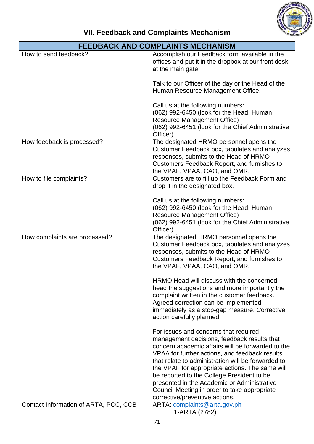

### **VII. Feedback and Complaints Mechanism**

|                                       | <b>FEEDBACK AND COMPLAINTS MECHANISM</b>                                                                                                                                                                                                                                                                                                                                                                                                                                                                            |
|---------------------------------------|---------------------------------------------------------------------------------------------------------------------------------------------------------------------------------------------------------------------------------------------------------------------------------------------------------------------------------------------------------------------------------------------------------------------------------------------------------------------------------------------------------------------|
| How to send feedback?                 | Accomplish our Feedback form available in the<br>offices and put it in the dropbox at our front desk<br>at the main gate.                                                                                                                                                                                                                                                                                                                                                                                           |
|                                       | Talk to our Officer of the day or the Head of the<br>Human Resource Management Office.                                                                                                                                                                                                                                                                                                                                                                                                                              |
|                                       | Call us at the following numbers:<br>(062) 992-6450 (look for the Head, Human<br><b>Resource Management Office)</b><br>(062) 992-6451 (look for the Chief Administrative<br>Officer)                                                                                                                                                                                                                                                                                                                                |
| How feedback is processed?            | The designated HRMO personnel opens the<br>Customer Feedback box, tabulates and analyzes<br>responses, submits to the Head of HRMO<br>Customers Feedback Report, and furnishes to<br>the VPAF, VPAA, CAO, and QMR.                                                                                                                                                                                                                                                                                                  |
| How to file complaints?               | Customers are to fill up the Feedback Form and<br>drop it in the designated box.<br>Call us at the following numbers:<br>(062) 992-6450 (look for the Head, Human<br><b>Resource Management Office)</b><br>(062) 992-6451 (look for the Chief Administrative                                                                                                                                                                                                                                                        |
| How complaints are processed?         | Officer)<br>The designated HRMO personnel opens the<br>Customer Feedback box, tabulates and analyzes<br>responses, submits to the Head of HRMO<br>Customers Feedback Report, and furnishes to<br>the VPAF, VPAA, CAO, and QMR.<br>HRMO Head will discuss with the concerned<br>head the suggestions and more importantly the<br>complaint written in the customer feedback.<br>Agreed correction can be implemented<br>immediately as a stop-gap measure. Corrective<br>action carefully planned.                   |
| Contact Information of ARTA, PCC, CCB | For issues and concerns that required<br>management decisions, feedback results that<br>concern academic affairs will be forwarded to the<br>VPAA for further actions, and feedback results<br>that relate to administration will be forwarded to<br>the VPAF for appropriate actions. The same will<br>be reported to the College President to be<br>presented in the Academic or Administrative<br>Council Meeting in order to take appropriate<br>corrective/preventive actions.<br>ARTA: complaints@arta.gov.ph |
|                                       | 1-ARTA (2782)                                                                                                                                                                                                                                                                                                                                                                                                                                                                                                       |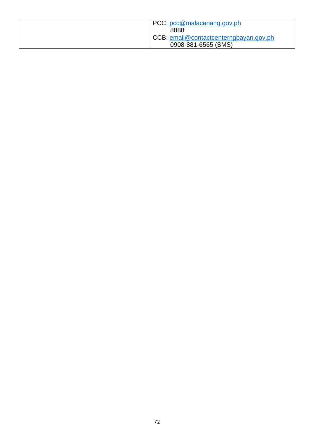| PCC: pcc@malacanang.gov.ph             |
|----------------------------------------|
| 8888                                   |
| CCB: email@contactcenterngbayan.gov.ph |
| 0908-881-6565 (SMS)                    |